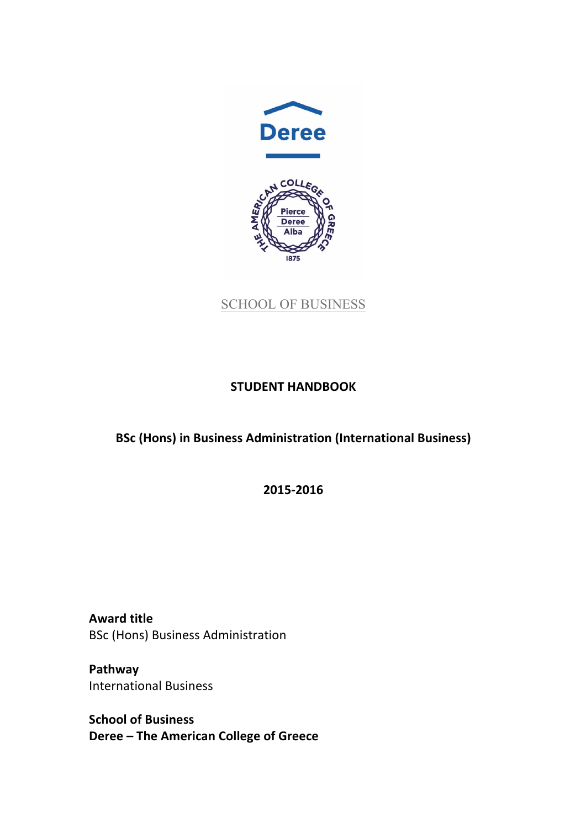

SCHOOL OF BUSINESS

# **STUDENT HANDBOOK**

**BSc (Hons) in Business Administration (International Business)** 

**2015-2016**

**Award title** BSc (Hons) Business Administration

**Pathway** International Business

**School of Business Deree** – The American College of Greece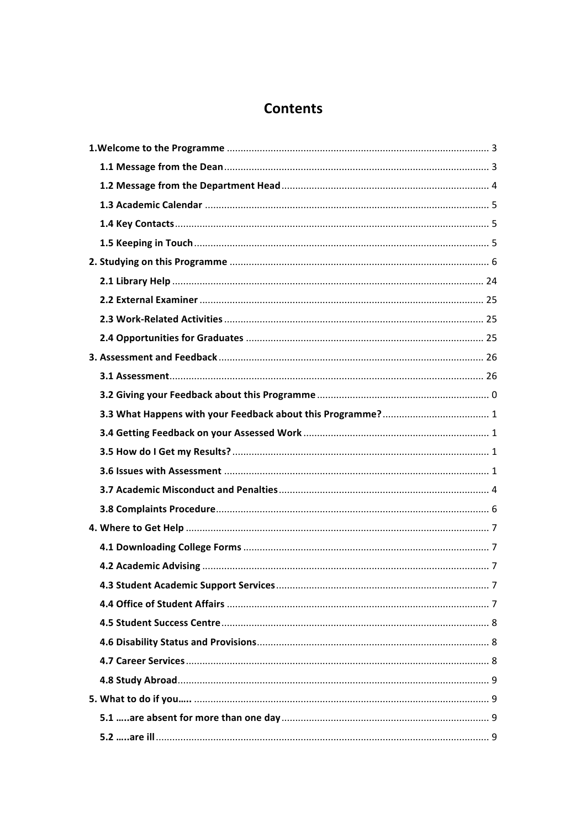# **Contents**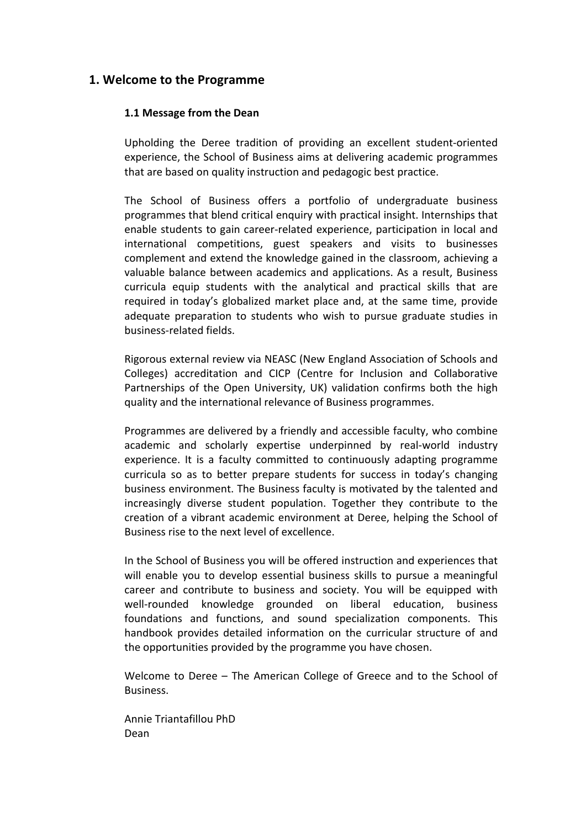# **1. Welcome to the Programme**

# **1.1 Message from the Dean**

Upholding the Deree tradition of providing an excellent student-oriented experience, the School of Business aims at delivering academic programmes that are based on quality instruction and pedagogic best practice.

The School of Business offers a portfolio of undergraduate business programmes that blend critical enquiry with practical insight. Internships that enable students to gain career-related experience, participation in local and international competitions, guest speakers and visits to businesses complement and extend the knowledge gained in the classroom, achieving a valuable balance between academics and applications. As a result, Business curricula equip students with the analytical and practical skills that are required in today's globalized market place and, at the same time, provide adequate preparation to students who wish to pursue graduate studies in business-related fields.

Rigorous external review via NEASC (New England Association of Schools and Colleges) accreditation and CICP (Centre for Inclusion and Collaborative Partnerships of the Open University, UK) validation confirms both the high quality and the international relevance of Business programmes.

Programmes are delivered by a friendly and accessible faculty, who combine academic and scholarly expertise underpinned by real-world industry experience. It is a faculty committed to continuously adapting programme curricula so as to better prepare students for success in today's changing business environment. The Business faculty is motivated by the talented and increasingly diverse student population. Together they contribute to the creation of a vibrant academic environment at Deree, helping the School of Business rise to the next level of excellence.

In the School of Business you will be offered instruction and experiences that will enable you to develop essential business skills to pursue a meaningful career and contribute to business and society. You will be equipped with well-rounded knowledge grounded on liberal education, business foundations and functions, and sound specialization components. This handbook provides detailed information on the curricular structure of and the opportunities provided by the programme you have chosen.

Welcome to Deree – The American College of Greece and to the School of Business.

Annie Triantafillou PhD Dean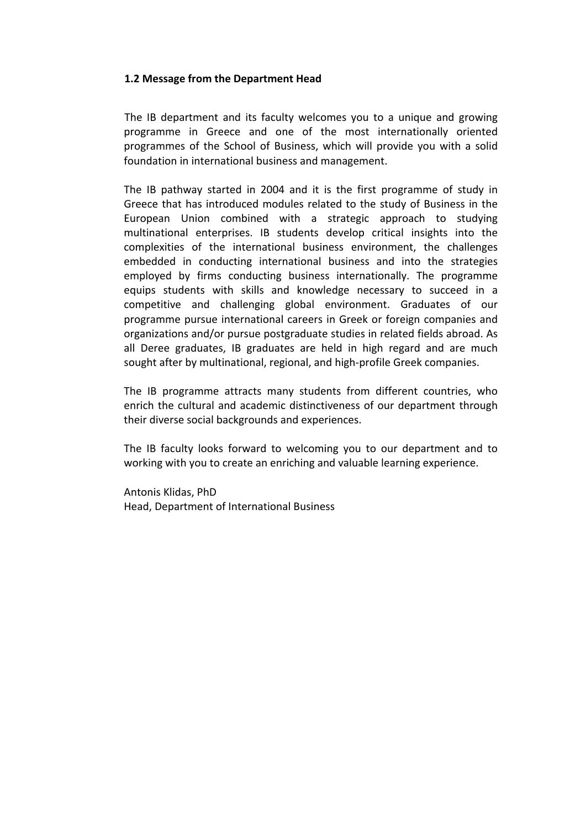# **1.2 Message from the Department Head**

The IB department and its faculty welcomes you to a unique and growing programme in Greece and one of the most internationally oriented programmes of the School of Business, which will provide you with a solid foundation in international business and management.

The IB pathway started in 2004 and it is the first programme of study in Greece that has introduced modules related to the study of Business in the European Union combined with a strategic approach to studying multinational enterprises. IB students develop critical insights into the complexities of the international business environment, the challenges embedded in conducting international business and into the strategies employed by firms conducting business internationally. The programme equips students with skills and knowledge necessary to succeed in a competitive and challenging global environment. Graduates of our programme pursue international careers in Greek or foreign companies and organizations and/or pursue postgraduate studies in related fields abroad. As all Deree graduates, IB graduates are held in high regard and are much sought after by multinational, regional, and high-profile Greek companies.

The IB programme attracts many students from different countries, who enrich the cultural and academic distinctiveness of our department through their diverse social backgrounds and experiences.

The IB faculty looks forward to welcoming you to our department and to working with you to create an enriching and valuable learning experience.

Antonis Klidas, PhD Head, Department of International Business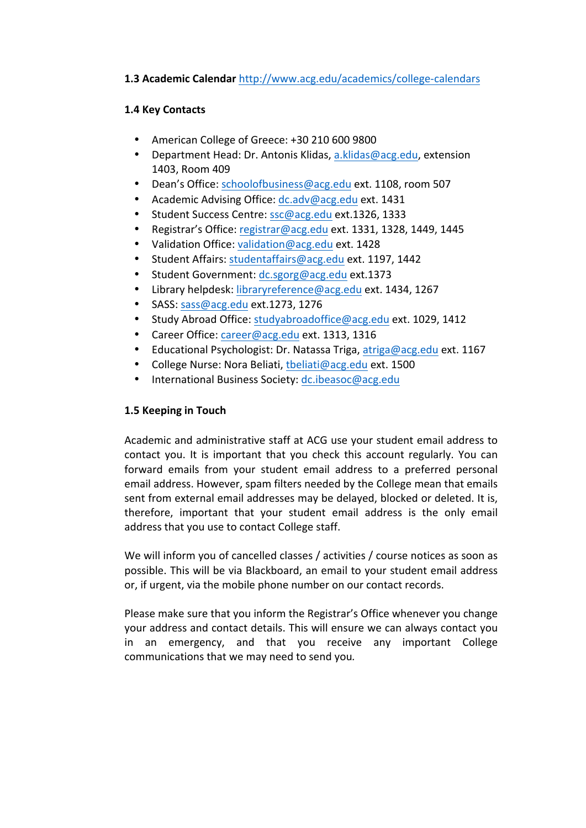# 1.3 Academic Calendar http://www.acg.edu/academics/college-calendars

# **1.4 Key Contacts**

- American College of Greece: +30 210 600 9800
- Department Head: Dr. Antonis Klidas, a.klidas@acg.edu, extension 1403, Room 409
- Dean's Office: schoolofbusiness@acg.edu ext. 1108, room 507
- Academic Advising Office: dc.adv@acg.edu ext. 1431
- Student Success Centre: ssc@acg.edu ext.1326, 1333
- Registrar's Office: registrar@acg.edu ext. 1331, 1328, 1449, 1445
- Validation Office: validation@acg.edu ext. 1428
- Student Affairs: studentaffairs@acg.edu ext. 1197, 1442
- Student Government: dc.sgorg@acg.edu ext.1373
- Library helpdesk: libraryreference@acg.edu ext. 1434, 1267
- SASS: sass@acg.edu ext.1273, 1276
- Study Abroad Office: studyabroadoffice@acg.edu ext. 1029, 1412
- Career Office: career@acg.edu ext. 1313, 1316
- Educational Psychologist: Dr. Natassa Triga, atriga@acg.edu ext. 1167
- College Nurse: Nora Beliati, theliati@acg.edu ext. 1500
- International Business Society: dc.ibeasoc@acg.edu

# 1.5 Keeping in Touch

Academic and administrative staff at ACG use your student email address to contact you. It is important that you check this account regularly. You can forward emails from your student email address to a preferred personal email address. However, spam filters needed by the College mean that emails sent from external email addresses may be delayed, blocked or deleted. It is, therefore, important that your student email address is the only email address that you use to contact College staff.

We will inform you of cancelled classes / activities / course notices as soon as possible. This will be via Blackboard, an email to your student email address or, if urgent, via the mobile phone number on our contact records.

Please make sure that you inform the Registrar's Office whenever you change your address and contact details. This will ensure we can always contact you in an emergency, and that you receive any important College communications that we may need to send you.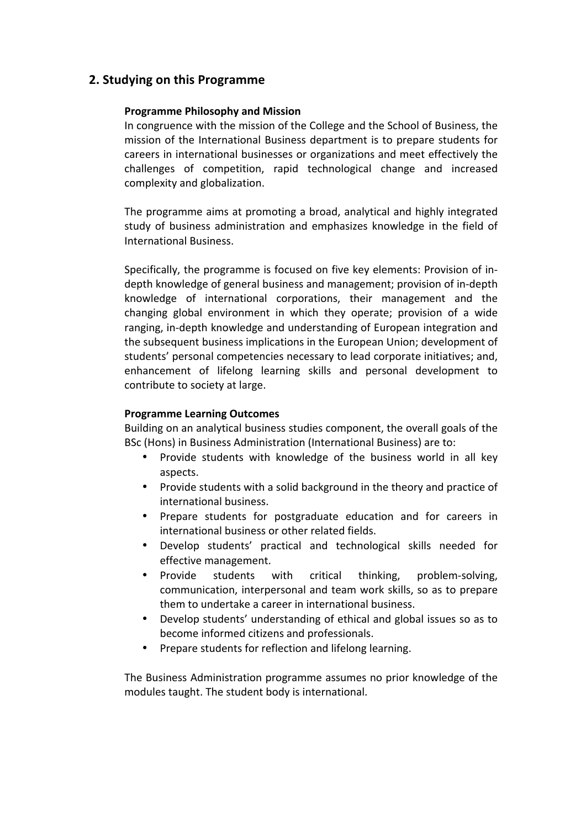# **2. Studying on this Programme**

# **Programme Philosophy and Mission**

In congruence with the mission of the College and the School of Business, the mission of the International Business department is to prepare students for careers in international businesses or organizations and meet effectively the challenges of competition, rapid technological change and increased complexity and globalization.

The programme aims at promoting a broad, analytical and highly integrated study of business administration and emphasizes knowledge in the field of International Business.

Specifically, the programme is focused on five key elements: Provision of indepth knowledge of general business and management; provision of in-depth knowledge of international corporations, their management and the changing global environment in which they operate; provision of a wide ranging, in-depth knowledge and understanding of European integration and the subsequent business implications in the European Union; development of students' personal competencies necessary to lead corporate initiatives; and, enhancement of lifelong learning skills and personal development to contribute to society at large.

# **Programme Learning Outcomes**

Building on an analytical business studies component, the overall goals of the BSc (Hons) in Business Administration (International Business) are to:

- Provide students with knowledge of the business world in all key aspects.
- Provide students with a solid background in the theory and practice of international business.
- Prepare students for postgraduate education and for careers in international business or other related fields.
- Develop students' practical and technological skills needed for effective management.
- Provide students with critical thinking, problem-solving, communication, interpersonal and team work skills, so as to prepare them to undertake a career in international business.
- Develop students' understanding of ethical and global issues so as to become informed citizens and professionals.
- Prepare students for reflection and lifelong learning.

The Business Administration programme assumes no prior knowledge of the modules taught. The student body is international.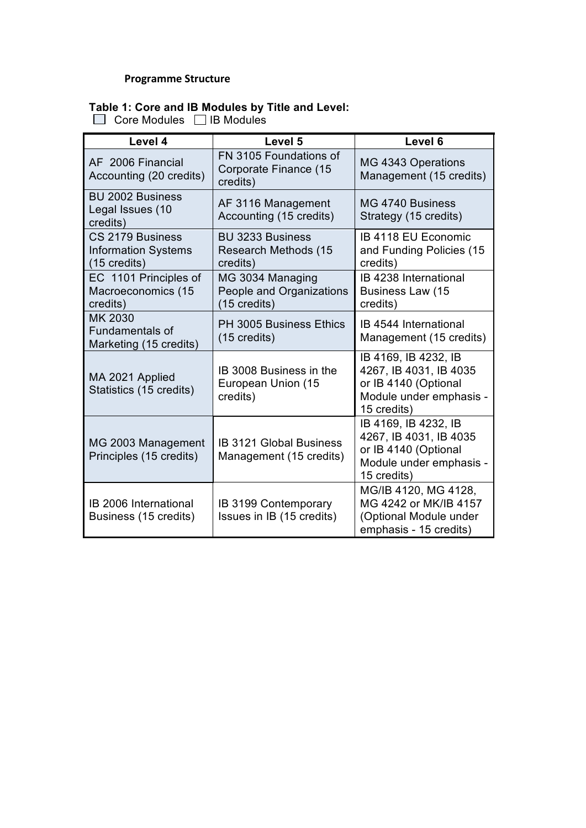# **Programme Structure**

# **Table 1: Core and IB Modules by Title and Level:**

 $\Box$  Core Modules  $\Box$  IB Modules

| Level 4                                                                  | Level 5                                                      | Level 6                                                                                                          |
|--------------------------------------------------------------------------|--------------------------------------------------------------|------------------------------------------------------------------------------------------------------------------|
| AF 2006 Financial<br>Accounting (20 credits)                             | FN 3105 Foundations of<br>Corporate Finance (15<br>credits)  | MG 4343 Operations<br>Management (15 credits)                                                                    |
| <b>BU 2002 Business</b><br>Legal Issues (10<br>credits)                  | AF 3116 Management<br>Accounting (15 credits)                | MG 4740 Business<br>Strategy (15 credits)                                                                        |
| CS 2179 Business<br><b>Information Systems</b><br>$(15 \text{ credits})$ | <b>BU 3233 Business</b><br>Research Methods (15<br>credits)  | IB 4118 EU Economic<br>and Funding Policies (15<br>credits)                                                      |
| EC 1101 Principles of<br>Macroeconomics (15<br>credits)                  | MG 3034 Managing<br>People and Organizations<br>(15 credits) | IB 4238 International<br>Business Law (15<br>credits)                                                            |
| MK 2030<br><b>Fundamentals of</b><br>Marketing (15 credits)              | <b>PH 3005 Business Ethics</b><br>$(15 \text{ credits})$     | IB 4544 International<br>Management (15 credits)                                                                 |
| MA 2021 Applied<br>Statistics (15 credits)                               | IB 3008 Business in the<br>European Union (15<br>credits)    | IB 4169, IB 4232, IB<br>4267, IB 4031, IB 4035<br>or IB 4140 (Optional<br>Module under emphasis -<br>15 credits) |
| MG 2003 Management<br>Principles (15 credits)                            | <b>IB 3121 Global Business</b><br>Management (15 credits)    | IB 4169, IB 4232, IB<br>4267, IB 4031, IB 4035<br>or IB 4140 (Optional<br>Module under emphasis -<br>15 credits) |
| IB 2006 International<br>Business (15 credits)                           | <b>IB 3199 Contemporary</b><br>Issues in IB (15 credits)     | MG/IB 4120, MG 4128,<br>MG 4242 or MK/IB 4157<br>(Optional Module under<br>emphasis - 15 credits)                |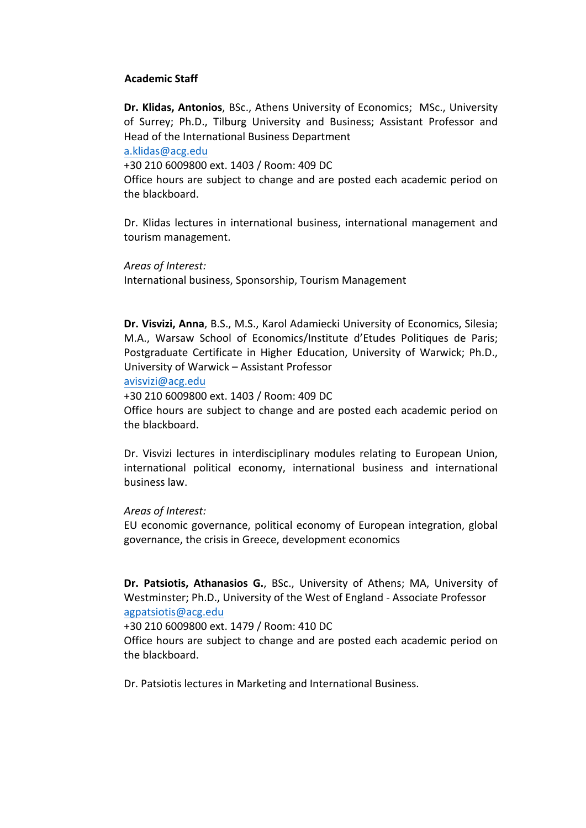# **Academic Staff**

**Dr. Klidas, Antonios**, BSc., Athens University of Economics; MSc., University of Surrey; Ph.D., Tilburg University and Business; Assistant Professor and Head of the International Business Department

#### a.klidas@acg.edu

+30 210 6009800 ext. 1403 / Room: 409 DC

Office hours are subject to change and are posted each academic period on the blackboard.

Dr. Klidas lectures in international business, international management and tourism management.

*Areas of Interest:* International business, Sponsorship, Tourism Management

**Dr. Visvizi, Anna**, B.S., M.S., Karol Adamiecki University of Economics, Silesia; M.A., Warsaw School of Economics/Institute d'Etudes Politiques de Paris; Postgraduate Certificate in Higher Education, University of Warwick; Ph.D., University of Warwick – Assistant Professor

avisvizi@acg.edu

+30 210 6009800 ext. 1403 / Room: 409 DC

Office hours are subject to change and are posted each academic period on the blackboard.

Dr. Visvizi lectures in interdisciplinary modules relating to European Union, international political economy, international business and international business law.

#### *Areas of Interest:*

EU economic governance, political economy of European integration, global governance, the crisis in Greece, development economics

Dr. Patsiotis, Athanasios G., BSc., University of Athens; MA, University of Westminster; Ph.D., University of the West of England - Associate Professor agpatsiotis@acg.edu

+30 210 6009800 ext. 1479 / Room: 410 DC

Office hours are subject to change and are posted each academic period on the blackboard.

Dr. Patsiotis lectures in Marketing and International Business.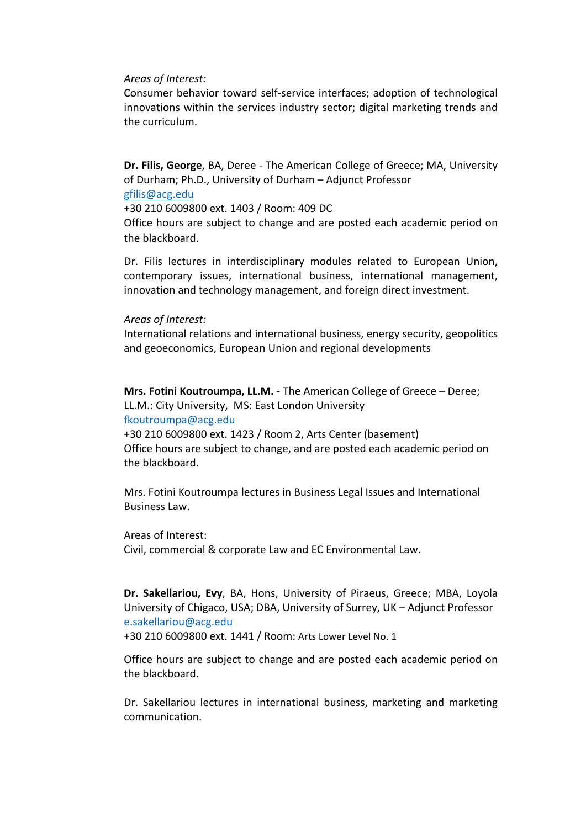#### *Areas of Interest:*

Consumer behavior toward self-service interfaces; adoption of technological innovations within the services industry sector; digital marketing trends and the curriculum.

**Dr. Filis, George**, BA, Deree - The American College of Greece; MA, University of Durham; Ph.D., University of Durham – Adjunct Professor gfilis@acg.edu

+30 210 6009800 ext. 1403 / Room: 409 DC

Office hours are subject to change and are posted each academic period on the blackboard.

Dr. Filis lectures in interdisciplinary modules related to European Union, contemporary issues, international business, international management, innovation and technology management, and foreign direct investment.

#### *Areas of Interest:*

International relations and international business, energy security, geopolitics and geoeconomics, European Union and regional developments

**Mrs. Fotini Koutroumpa, LL.M.** - The American College of Greece – Deree; LL.M.: City University, MS: East London University fkoutroumpa@acg.edu

+30 210 6009800 ext. 1423 / Room 2, Arts Center (basement) Office hours are subject to change, and are posted each academic period on the blackboard.

Mrs. Fotini Koutroumpa lectures in Business Legal Issues and International Business Law.

#### Areas of Interest:

Civil, commercial & corporate Law and EC Environmental Law.

**Dr. Sakellariou, Evy**, BA, Hons, University of Piraeus, Greece; MBA, Loyola University of Chigaco, USA; DBA, University of Surrey, UK - Adjunct Professor e.sakellariou@acg.edu

+30 210 6009800 ext. 1441 / Room: Arts Lower Level No. 1

Office hours are subject to change and are posted each academic period on the blackboard.

Dr. Sakellariou lectures in international business, marketing and marketing communication.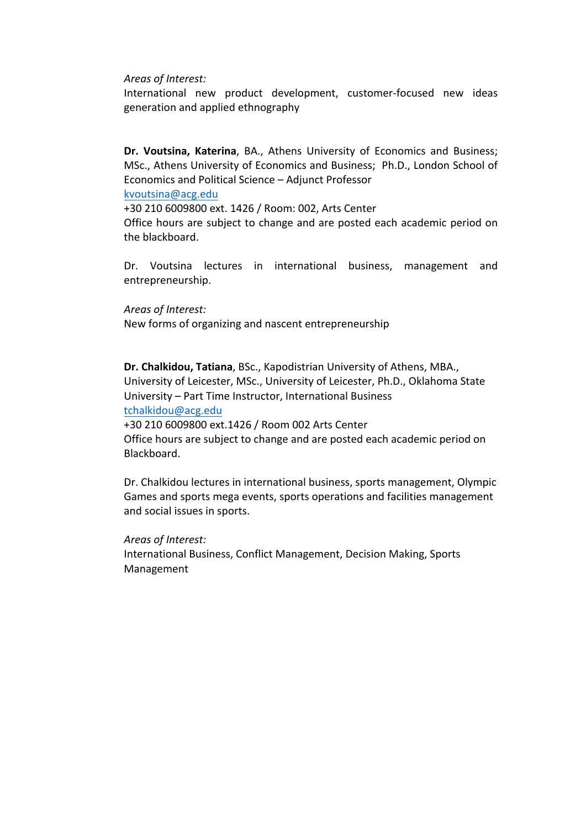*Areas of Interest:*

International new product development, customer-focused new ideas generation and applied ethnography

**Dr. Voutsina, Katerina**, BA., Athens University of Economics and Business; MSc., Athens University of Economics and Business; Ph.D., London School of Economics and Political Science – Adjunct Professor kvoutsina@acg.edu

+30 210 6009800 ext. 1426 / Room: 002, Arts Center Office hours are subject to change and are posted each academic period on the blackboard.

Dr. Voutsina lectures in international business, management and entrepreneurship.

#### *Areas of Interest:*

New forms of organizing and nascent entrepreneurship

**Dr. Chalkidou, Tatiana**, BSc., Kapodistrian University of Athens, MBA., University of Leicester, MSc., University of Leicester, Ph.D., Oklahoma State University - Part Time Instructor, International Business tchalkidou@acg.edu

+30 210 6009800 ext.1426 / Room 002 Arts Center

Office hours are subject to change and are posted each academic period on Blackboard.

Dr. Chalkidou lectures in international business, sports management, Olympic Games and sports mega events, sports operations and facilities management and social issues in sports.

#### *Areas of Interest:*

International Business, Conflict Management, Decision Making, Sports Management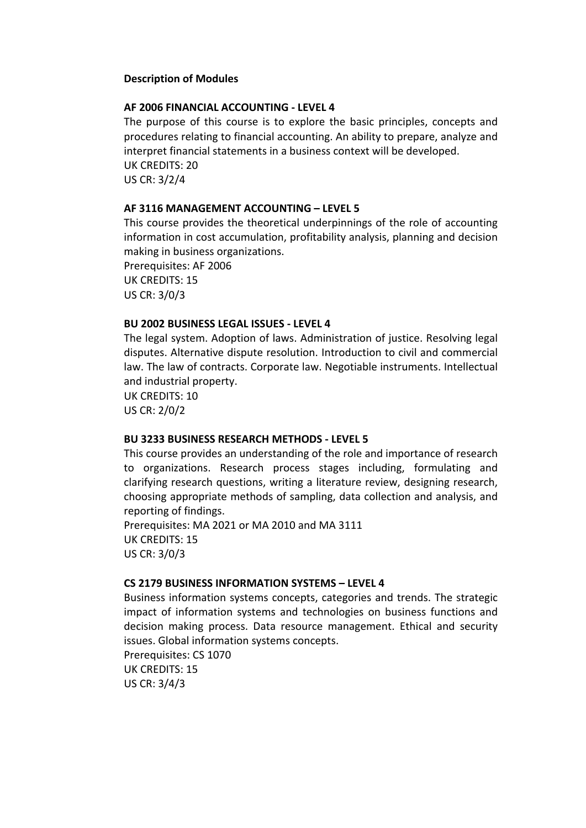# **Description of Modules**

#### **AF 2006 FINANCIAL ACCOUNTING - LEVEL 4**

The purpose of this course is to explore the basic principles, concepts and procedures relating to financial accounting. An ability to prepare, analyze and interpret financial statements in a business context will be developed. UK CREDITS: 20 US CR: 3/2/4

# **AF 3116 MANAGEMENT ACCOUNTING – LEVEL 5**

This course provides the theoretical underpinnings of the role of accounting information in cost accumulation, profitability analysis, planning and decision making in business organizations.

Prerequisites: AF 2006 UK CREDITS: 15 US CR: 3/0/3

#### **BU 2002 BUSINESS LEGAL ISSUES - LEVEL 4**

The legal system. Adoption of laws. Administration of justice. Resolving legal disputes. Alternative dispute resolution. Introduction to civil and commercial law. The law of contracts. Corporate law. Negotiable instruments. Intellectual and industrial property.

UK CREDITS: 10 US CR: 2/0/2

#### **BU 3233 BUSINESS RESEARCH METHODS - LEVEL 5**

This course provides an understanding of the role and importance of research to organizations. Research process stages including, formulating and clarifying research questions, writing a literature review, designing research, choosing appropriate methods of sampling, data collection and analysis, and reporting of findings.

Prerequisites: MA 2021 or MA 2010 and MA 3111 UK CREDITS: 15 US CR: 3/0/3

#### **CS 2179 BUSINESS INFORMATION SYSTEMS - LEVEL 4**

Business information systems concepts, categories and trends. The strategic impact of information systems and technologies on business functions and decision making process. Data resource management. Ethical and security issues. Global information systems concepts. Prerequisites: CS 1070

UK CREDITS: 15 US CR: 3/4/3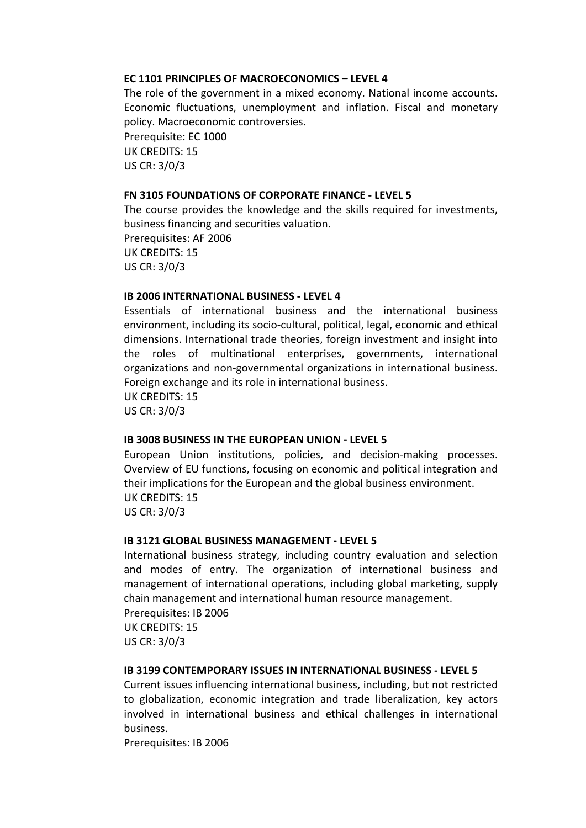# **EC 1101 PRINCIPLES OF MACROECONOMICS – LEVEL 4**

The role of the government in a mixed economy. National income accounts. Economic fluctuations, unemployment and inflation. Fiscal and monetary policy. Macroeconomic controversies. Prerequisite: EC 1000

UK CREDITS: 15 US CR: 3/0/3

# **FN 3105 FOUNDATIONS OF CORPORATE FINANCE - LEVEL 5**

The course provides the knowledge and the skills required for investments, business financing and securities valuation. Prerequisites: AF 2006 **UK CREDITS: 15** US CR: 3/0/3

# **IB 2006 INTERNATIONAL BUSINESS - LEVEL 4**

Essentials of international business and the international business environment, including its socio-cultural, political, legal, economic and ethical dimensions. International trade theories, foreign investment and insight into the roles of multinational enterprises, governments, international organizations and non-governmental organizations in international business. Foreign exchange and its role in international business. UK CREDITS: 15 US CR: 3/0/3

#### **IB 3008 BUSINESS IN THE EUROPEAN UNION - LEVEL 5**

European Union institutions, policies, and decision-making processes. Overview of EU functions, focusing on economic and political integration and their implications for the European and the global business environment. UK CREDITS: 15 US CR: 3/0/3

#### **IB 3121 GLOBAL BUSINESS MANAGEMENT - LEVEL 5**

International business strategy, including country evaluation and selection and modes of entry. The organization of international business and management of international operations, including global marketing, supply chain management and international human resource management. Prerequisites: IB 2006

UK CREDITS: 15 US CR: 3/0/3

#### **IB 3199 CONTEMPORARY ISSUES IN INTERNATIONAL BUSINESS - LEVEL 5**

Current issues influencing international business, including, but not restricted to globalization, economic integration and trade liberalization, key actors involved in international business and ethical challenges in international business.

Prerequisites: IB 2006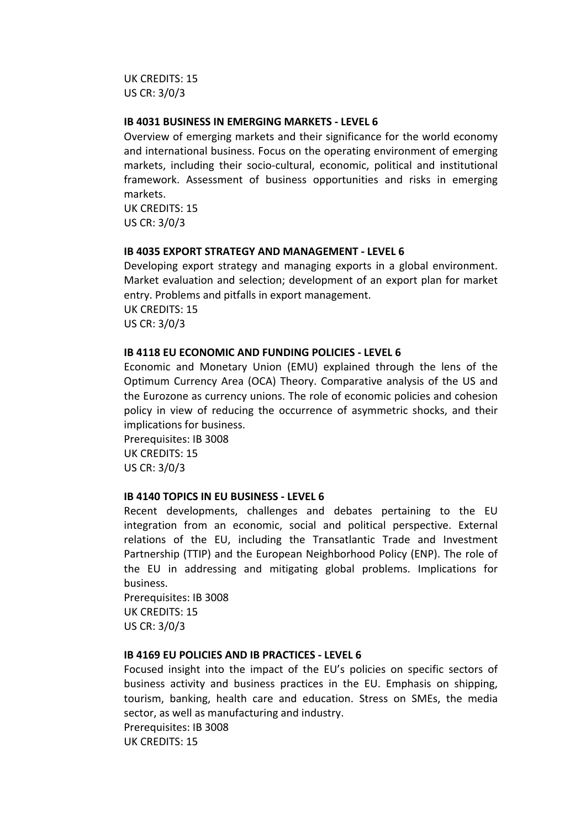**UK CREDITS: 15** US CR: 3/0/3

#### **IB 4031 BUSINESS IN EMERGING MARKETS - LEVEL 6**

Overview of emerging markets and their significance for the world economy and international business. Focus on the operating environment of emerging markets, including their socio-cultural, economic, political and institutional framework. Assessment of business opportunities and risks in emerging markets.

UK CREDITS: 15 US CR: 3/0/3

#### **IB 4035 EXPORT STRATEGY AND MANAGEMENT - LEVEL 6**

Developing export strategy and managing exports in a global environment. Market evaluation and selection; development of an export plan for market entry. Problems and pitfalls in export management. UK CREDITS: 15 US CR: 3/0/3

# **IB 4118 EU ECONOMIC AND FUNDING POLICIES - LEVEL 6**

Economic and Monetary Union (EMU) explained through the lens of the Optimum Currency Area (OCA) Theory. Comparative analysis of the US and the Eurozone as currency unions. The role of economic policies and cohesion policy in view of reducing the occurrence of asymmetric shocks, and their implications for business.

Prerequisites: IB 3008 UK CREDITS: 15 US CR: 3/0/3

#### **IB 4140 TOPICS IN EU BUSINESS - LEVEL 6**

Recent developments, challenges and debates pertaining to the EU integration from an economic, social and political perspective. External relations of the EU, including the Transatlantic Trade and Investment Partnership (TTIP) and the European Neighborhood Policy (ENP). The role of the EU in addressing and mitigating global problems. Implications for business. 

Prerequisites: IB 3008 UK CREDITS: 15 US CR: 3/0/3

# **IB 4169 EU POLICIES AND IB PRACTICES - LEVEL 6**

Focused insight into the impact of the EU's policies on specific sectors of business activity and business practices in the EU. Emphasis on shipping, tourism, banking, health care and education. Stress on SMEs, the media sector, as well as manufacturing and industry. Prerequisites: IB 3008 UK CREDITS: 15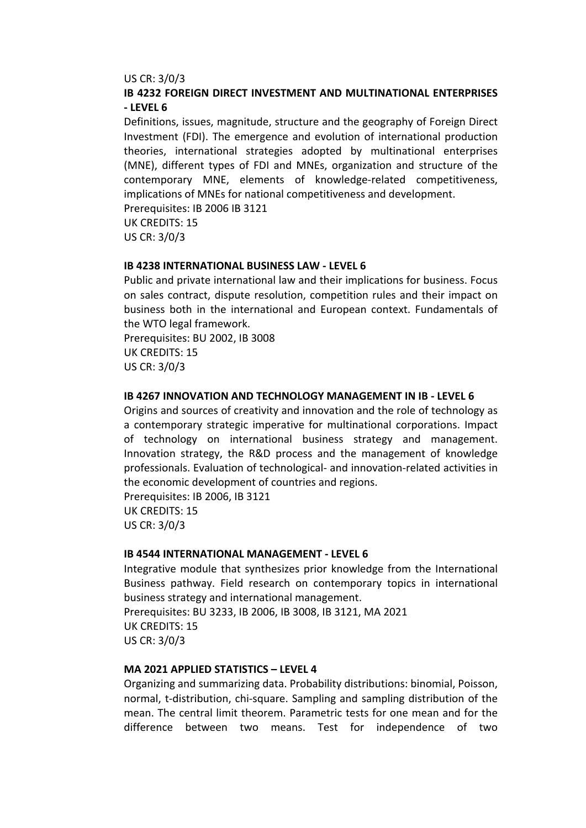#### US CR: 3/0/3

# **IB 4232 FOREIGN DIRECT INVESTMENT AND MULTINATIONAL ENTERPRISES - LEVEL 6**

Definitions, issues, magnitude, structure and the geography of Foreign Direct Investment (FDI). The emergence and evolution of international production theories, international strategies adopted by multinational enterprises (MNE), different types of FDI and MNEs, organization and structure of the contemporary MNE, elements of knowledge-related competitiveness, implications of MNEs for national competitiveness and development.

Prerequisites: IB 2006 IB 3121 UK CREDITS: 15

US CR: 3/0/3

#### **IB 4238 INTERNATIONAL BUSINESS LAW - LEVEL 6**

Public and private international law and their implications for business. Focus on sales contract, dispute resolution, competition rules and their impact on business both in the international and European context. Fundamentals of the WTO legal framework.

Prerequisites: BU 2002, IB 3008 UK CREDITS: 15 US CR: 3/0/3

# **IB 4267 INNOVATION AND TECHNOLOGY MANAGEMENT IN IB - LEVEL 6**

Origins and sources of creativity and innovation and the role of technology as a contemporary strategic imperative for multinational corporations. Impact of technology on international business strategy and management. Innovation strategy, the R&D process and the management of knowledge professionals. Evaluation of technological- and innovation-related activities in the economic development of countries and regions.

Prerequisites: IB 2006, IB 3121 UK CREDITS: 15 US CR: 3/0/3

### **IB 4544 INTERNATIONAL MANAGEMENT - LEVEL 6**

Integrative module that synthesizes prior knowledge from the International Business pathway. Field research on contemporary topics in international business strategy and international management. Prerequisites: BU 3233, IB 2006, IB 3008, IB 3121, MA 2021

UK CREDITS: 15 US CR: 3/0/3

# **MA 2021 APPLIED STATISTICS - LEVEL 4**

Organizing and summarizing data. Probability distributions: binomial, Poisson, normal, t-distribution, chi-square. Sampling and sampling distribution of the mean. The central limit theorem. Parametric tests for one mean and for the difference between two means. Test for independence of two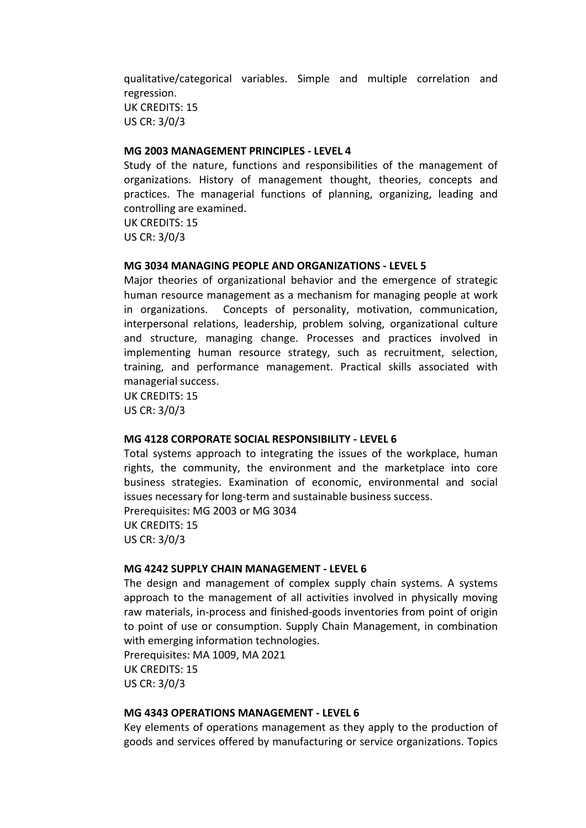qualitative/categorical variables. Simple and multiple correlation and regression. UK CREDITS: 15 US CR: 3/0/3

# **MG 2003 MANAGEMENT PRINCIPLES - LEVEL 4**

Study of the nature, functions and responsibilities of the management of organizations. History of management thought, theories, concepts and practices. The managerial functions of planning, organizing, leading and controlling are examined.

UK CREDITS: 15 US CR: 3/0/3

# **MG 3034 MANAGING PEOPLE AND ORGANIZATIONS - LEVEL 5**

Major theories of organizational behavior and the emergence of strategic human resource management as a mechanism for managing people at work in organizations. Concepts of personality, motivation, communication, interpersonal relations, leadership, problem solving, organizational culture and structure, managing change. Processes and practices involved in implementing human resource strategy, such as recruitment, selection, training, and performance management. Practical skills associated with managerial success.

UK CREDITS: 15 US CR: 3/0/3

#### **MG 4128 CORPORATE SOCIAL RESPONSIBILITY - LEVEL 6**

Total systems approach to integrating the issues of the workplace, human rights, the community, the environment and the marketplace into core business strategies. Examination of economic, environmental and social issues necessary for long-term and sustainable business success. Prerequisites: MG 2003 or MG 3034 UK CREDITS: 15

US CR: 3/0/3

# **MG 4242 SUPPLY CHAIN MANAGEMENT - LEVEL 6**

The design and management of complex supply chain systems. A systems approach to the management of all activities involved in physically moving raw materials, in-process and finished-goods inventories from point of origin to point of use or consumption. Supply Chain Management, in combination with emerging information technologies.

Prerequisites: MA 1009, MA 2021 UK CREDITS: 15 US CR: 3/0/3

### **MG 4343 OPERATIONS MANAGEMENT - LEVEL 6**

Key elements of operations management as they apply to the production of goods and services offered by manufacturing or service organizations. Topics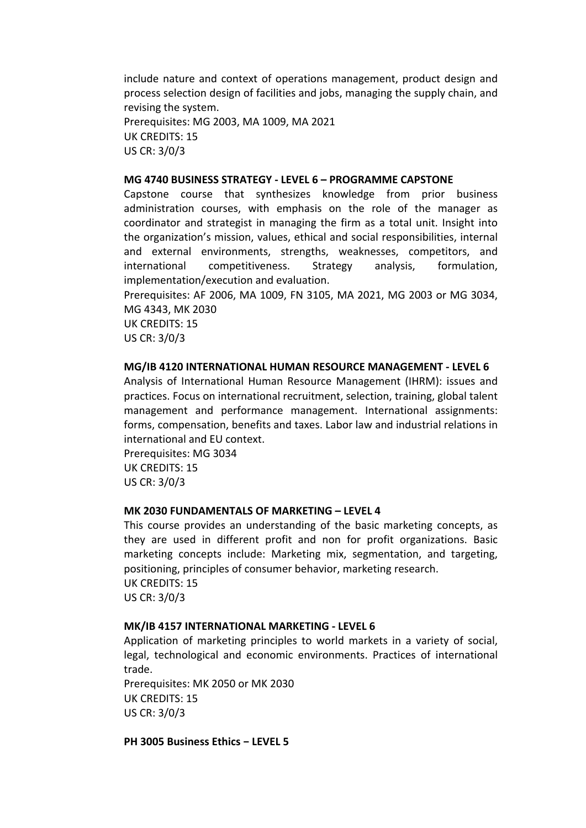include nature and context of operations management, product design and process selection design of facilities and jobs, managing the supply chain, and revising the system.

Prerequisites: MG 2003, MA 1009, MA 2021 UK CREDITS: 15 US CR: 3/0/3

#### **MG 4740 BUSINESS STRATEGY - LEVEL 6 – PROGRAMME CAPSTONE**

Capstone course that synthesizes knowledge from prior business administration courses, with emphasis on the role of the manager as coordinator and strategist in managing the firm as a total unit. Insight into the organization's mission, values, ethical and social responsibilities, internal and external environments, strengths, weaknesses, competitors, and international competitiveness. Strategy analysis, formulation, implementation/execution and evaluation.

Prerequisites: AF 2006, MA 1009, FN 3105, MA 2021, MG 2003 or MG 3034, MG 4343, MK 2030 UK CREDITS: 15 US CR: 3/0/3

#### **MG/IB 4120 INTERNATIONAL HUMAN RESOURCE MANAGEMENT - LEVEL 6**

Analysis of International Human Resource Management (IHRM): issues and practices. Focus on international recruitment, selection, training, global talent management and performance management. International assignments: forms, compensation, benefits and taxes. Labor law and industrial relations in international and EU context.

Prerequisites: MG 3034 **UK CREDITS: 15** US CR: 3/0/3

#### **MK 2030 FUNDAMENTALS OF MARKETING - LEVEL 4**

This course provides an understanding of the basic marketing concepts, as they are used in different profit and non for profit organizations. Basic marketing concepts include: Marketing mix, segmentation, and targeting, positioning, principles of consumer behavior, marketing research. UK CREDITS: 15 US CR: 3/0/3

#### **MK/IB 4157 INTERNATIONAL MARKETING - LEVEL 6**

Application of marketing principles to world markets in a variety of social, legal, technological and economic environments. Practices of international trade.

Prerequisites: MK 2050 or MK 2030 UK CREDITS: 15 US CR: 3/0/3

**PH 3005 Business Ethics − LEVEL 5**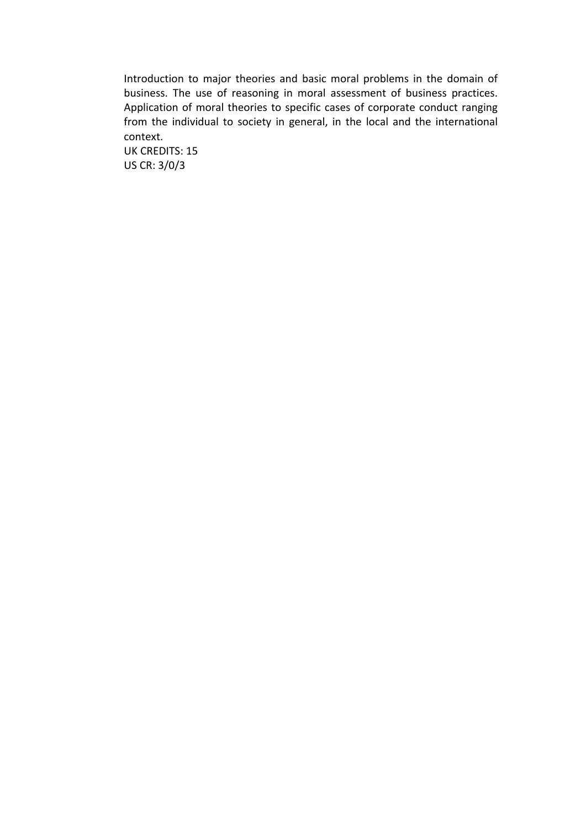Introduction to major theories and basic moral problems in the domain of business. The use of reasoning in moral assessment of business practices. Application of moral theories to specific cases of corporate conduct ranging from the individual to society in general, in the local and the international context.

UK CREDITS: 15 US CR: 3/0/3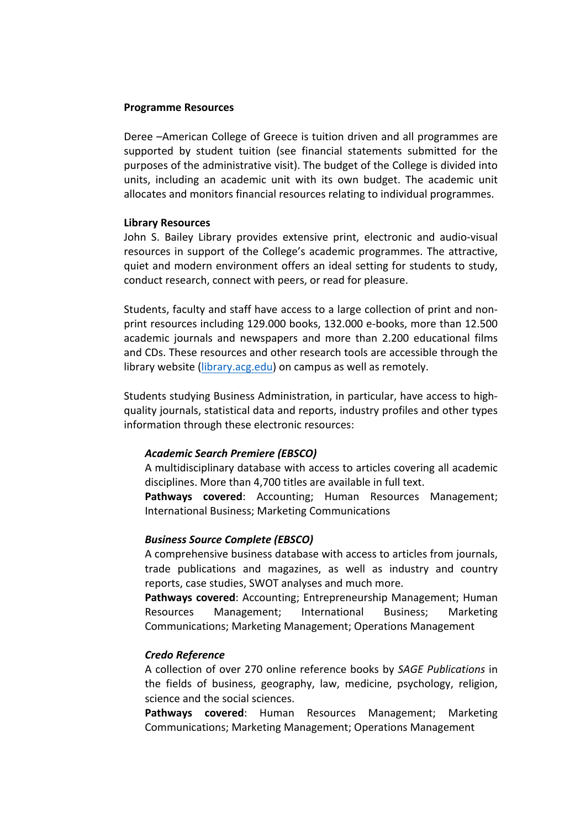### **Programme Resources**

Deree –American College of Greece is tuition driven and all programmes are supported by student tuition (see financial statements submitted for the purposes of the administrative visit). The budget of the College is divided into units, including an academic unit with its own budget. The academic unit allocates and monitors financial resources relating to individual programmes.

# **Library Resources**

John S. Bailey Library provides extensive print, electronic and audio-visual resources in support of the College's academic programmes. The attractive, quiet and modern environment offers an ideal setting for students to study, conduct research, connect with peers, or read for pleasure.

Students, faculty and staff have access to a large collection of print and nonprint resources including 129.000 books, 132.000 e-books, more than 12.500 academic journals and newspapers and more than 2.200 educational films and CDs. These resources and other research tools are accessible through the library website (library.acg.edu) on campus as well as remotely.

Students studying Business Administration, in particular, have access to highquality journals, statistical data and reports, industry profiles and other types information through these electronic resources:

# *Academic Search Premiere (EBSCO)*

A multidisciplinary database with access to articles covering all academic disciplines. More than 4,700 titles are available in full text.

**Pathways covered:** Accounting; Human Resources Management; International Business; Marketing Communications

#### *Business Source Complete (EBSCO)*

A comprehensive business database with access to articles from journals, trade publications and magazines, as well as industry and country reports, case studies, SWOT analyses and much more.

Pathways covered: Accounting; Entrepreneurship Management; Human Resources Management; International Business; Marketing Communications; Marketing Management; Operations Management

#### *Credo Reference*

A collection of over 270 online reference books by *SAGE Publications* in the fields of business, geography, law, medicine, psychology, religion, science and the social sciences.

**Pathways covered:** Human Resources Management; Marketing Communications; Marketing Management; Operations Management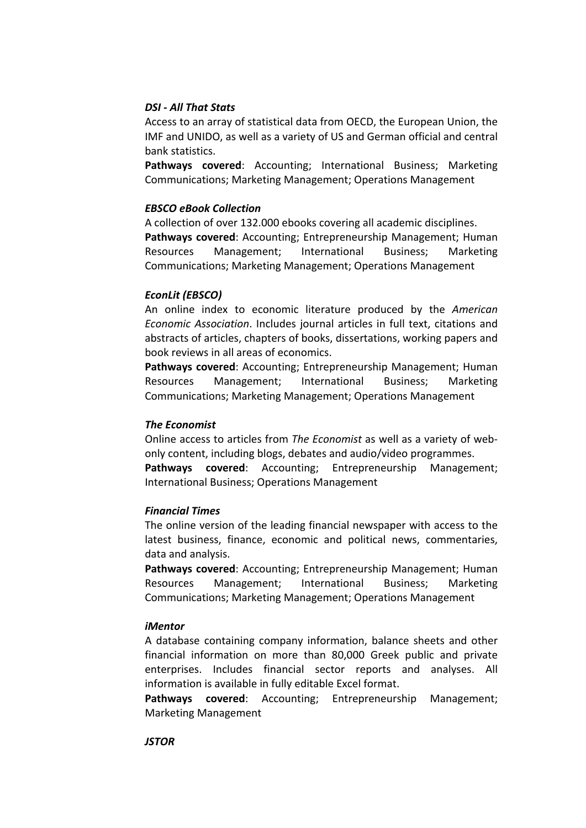# *DSI - All That Stats*

Access to an array of statistical data from OECD, the European Union, the IMF and UNIDO, as well as a variety of US and German official and central bank statistics.

**Pathways covered:** Accounting; International Business; Marketing Communications; Marketing Management; Operations Management

# *EBSCO eBook Collection*

A collection of over 132.000 ebooks covering all academic disciplines. Pathways covered: Accounting; Entrepreneurship Management; Human Resources Management; International Business; Marketing Communications; Marketing Management; Operations Management

# *EconLit (EBSCO)*

An online index to economic literature produced by the American *Economic Association*. Includes journal articles in full text, citations and abstracts of articles, chapters of books, dissertations, working papers and book reviews in all areas of economics.

Pathways covered: Accounting; Entrepreneurship Management; Human Resources Management; International Business; Marketing Communications; Marketing Management; Operations Management

# *The Economist*

Online access to articles from *The Economist* as well as a variety of webonly content, including blogs, debates and audio/video programmes. **Pathways covered:** Accounting; Entrepreneurship Management; International Business; Operations Management

#### *Financial Times*

The online version of the leading financial newspaper with access to the latest business, finance, economic and political news, commentaries, data and analysis.

Pathways covered: Accounting; Entrepreneurship Management; Human Resources Management; International Business; Marketing Communications; Marketing Management; Operations Management

#### *iMentor*

A database containing company information, balance sheets and other financial information on more than 80,000 Greek public and private enterprises. Includes financial sector reports and analyses. All information is available in fully editable Excel format.

**Pathways covered:** Accounting; Entrepreneurship Management; Marketing Management

#### *JSTOR*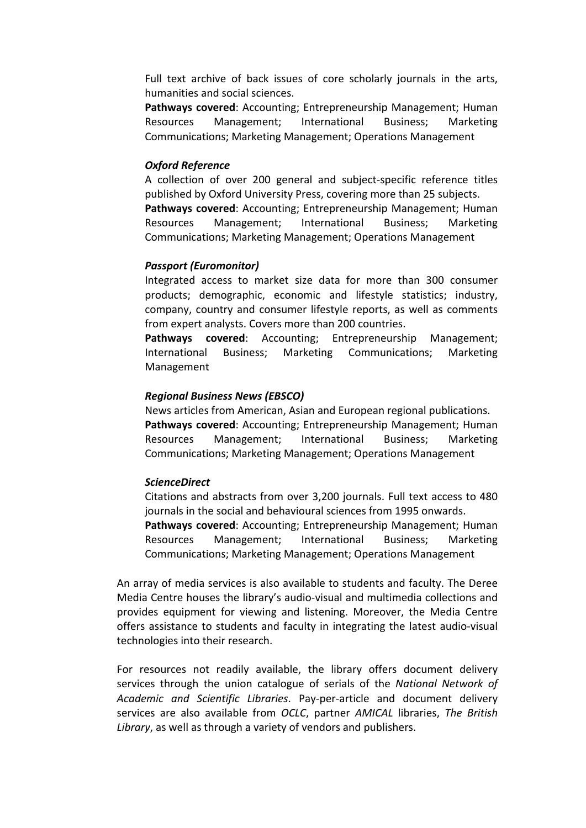Full text archive of back issues of core scholarly journals in the arts, humanities and social sciences.

**Pathways covered:** Accounting; Entrepreneurship Management; Human Resources Management; International Business; Marketing Communications; Marketing Management; Operations Management

# *Oxford Reference*

A collection of over 200 general and subject-specific reference titles published by Oxford University Press, covering more than 25 subjects. Pathways covered: Accounting; Entrepreneurship Management; Human Resources Management; International Business; Marketing Communications; Marketing Management; Operations Management

# *Passport (Euromonitor)*

Integrated access to market size data for more than 300 consumer products; demographic, economic and lifestyle statistics; industry, company, country and consumer lifestyle reports, as well as comments from expert analysts. Covers more than 200 countries.

**Pathways covered:** Accounting; Entrepreneurship Management; International Business; Marketing Communications; Marketing Management

# *Regional Business News (EBSCO)*

News articles from American, Asian and European regional publications. Pathways covered: Accounting; Entrepreneurship Management; Human Resources Management; International Business; Marketing Communications; Marketing Management; Operations Management

# *ScienceDirect*

Citations and abstracts from over 3,200 journals. Full text access to 480 journals in the social and behavioural sciences from 1995 onwards. **Pathways covered:** Accounting; Entrepreneurship Management; Human Resources Management; International Business; Marketing

Communications; Marketing Management; Operations Management

An array of media services is also available to students and faculty. The Deree Media Centre houses the library's audio-visual and multimedia collections and provides equipment for viewing and listening. Moreover, the Media Centre offers assistance to students and faculty in integrating the latest audio-visual technologies into their research.

For resources not readily available, the library offers document delivery services through the union catalogue of serials of the *National Network of Academic and Scientific Libraries*. Pay-per-article and document delivery services are also available from *OCLC*, partner *AMICAL* libraries, The British Library, as well as through a variety of vendors and publishers.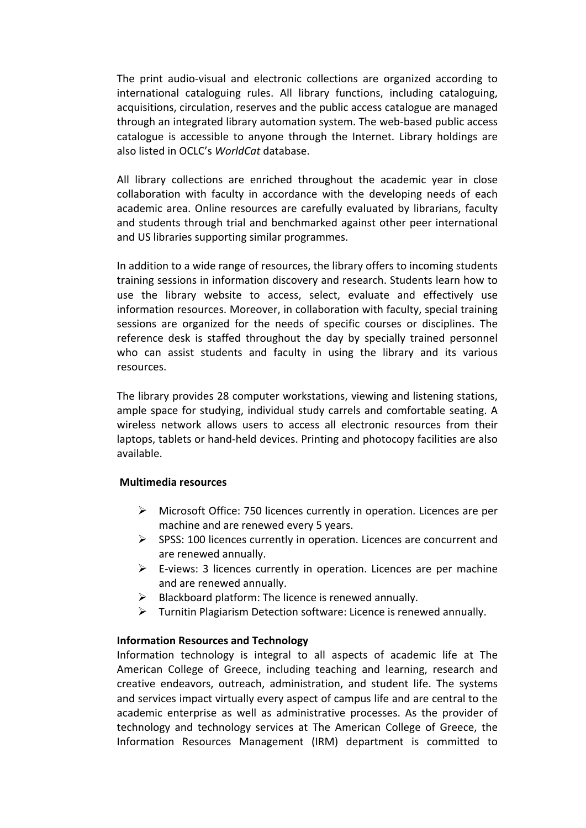The print audio-visual and electronic collections are organized according to international cataloguing rules. All library functions, including cataloguing, acquisitions, circulation, reserves and the public access catalogue are managed through an integrated library automation system. The web-based public access catalogue is accessible to anyone through the Internet. Library holdings are also listed in OCLC's *WorldCat* database.

All library collections are enriched throughout the academic year in close collaboration with faculty in accordance with the developing needs of each academic area. Online resources are carefully evaluated by librarians, faculty and students through trial and benchmarked against other peer international and US libraries supporting similar programmes.

In addition to a wide range of resources, the library offers to incoming students training sessions in information discovery and research. Students learn how to use the library website to access, select, evaluate and effectively use information resources. Moreover, in collaboration with faculty, special training sessions are organized for the needs of specific courses or disciplines. The reference desk is staffed throughout the day by specially trained personnel who can assist students and faculty in using the library and its various resources.

The library provides 28 computer workstations, viewing and listening stations, ample space for studying, individual study carrels and comfortable seating. A wireless network allows users to access all electronic resources from their laptops, tablets or hand-held devices. Printing and photocopy facilities are also available.

# **Multimedia resources**

- $\triangleright$  Microsoft Office: 750 licences currently in operation. Licences are per machine and are renewed every 5 years.
- $\triangleright$  SPSS: 100 licences currently in operation. Licences are concurrent and are renewed annually.
- $\triangleright$  E-views: 3 licences currently in operation. Licences are per machine and are renewed annually.
- $\triangleright$  Blackboard platform: The licence is renewed annually.
- $\triangleright$  Turnitin Plagiarism Detection software: Licence is renewed annually.

# **Information Resources and Technology**

Information technology is integral to all aspects of academic life at The American College of Greece, including teaching and learning, research and creative endeavors, outreach, administration, and student life. The systems and services impact virtually every aspect of campus life and are central to the academic enterprise as well as administrative processes. As the provider of technology and technology services at The American College of Greece, the Information Resources Management (IRM) department is committed to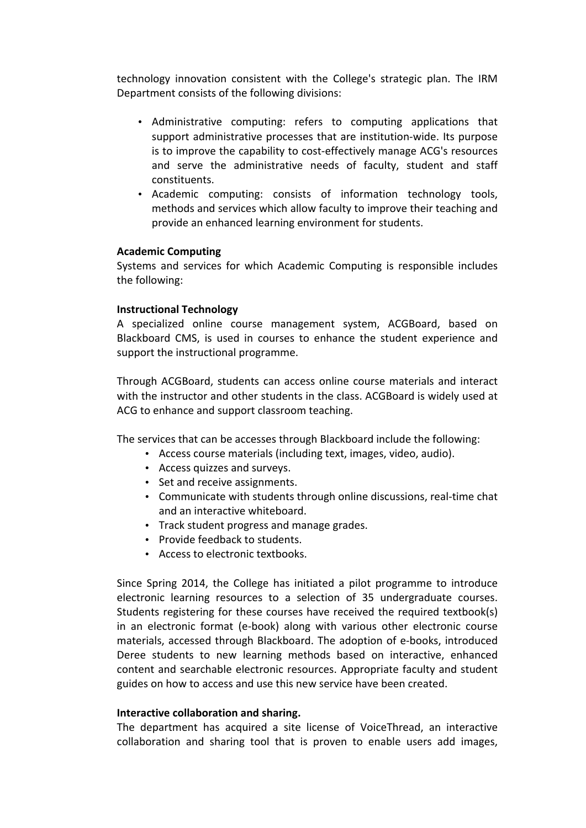technology innovation consistent with the College's strategic plan. The IRM Department consists of the following divisions:

- Administrative computing: refers to computing applications that support administrative processes that are institution-wide. Its purpose is to improve the capability to cost-effectively manage ACG's resources and serve the administrative needs of faculty, student and staff constituents.
- Academic computing: consists of information technology tools, methods and services which allow faculty to improve their teaching and provide an enhanced learning environment for students.

# **Academic Computing**

Systems and services for which Academic Computing is responsible includes the following:

# **Instructional Technology**

A specialized online course management system, ACGBoard, based on Blackboard CMS, is used in courses to enhance the student experience and support the instructional programme.

Through ACGBoard, students can access online course materials and interact with the instructor and other students in the class. ACGBoard is widely used at ACG to enhance and support classroom teaching.

The services that can be accesses through Blackboard include the following:

- Access course materials (including text, images, video, audio).
- Access quizzes and surveys.
- Set and receive assignments.
- Communicate with students through online discussions, real-time chat and an interactive whiteboard.
- Track student progress and manage grades.
- Provide feedback to students.
- Access to electronic textbooks.

Since Spring 2014, the College has initiated a pilot programme to introduce electronic learning resources to a selection of 35 undergraduate courses. Students registering for these courses have received the required textbook(s) in an electronic format (e-book) along with various other electronic course materials, accessed through Blackboard. The adoption of e-books, introduced Deree students to new learning methods based on interactive, enhanced content and searchable electronic resources. Appropriate faculty and student guides on how to access and use this new service have been created.

#### **Interactive collaboration and sharing.**

The department has acquired a site license of VoiceThread, an interactive collaboration and sharing tool that is proven to enable users add images,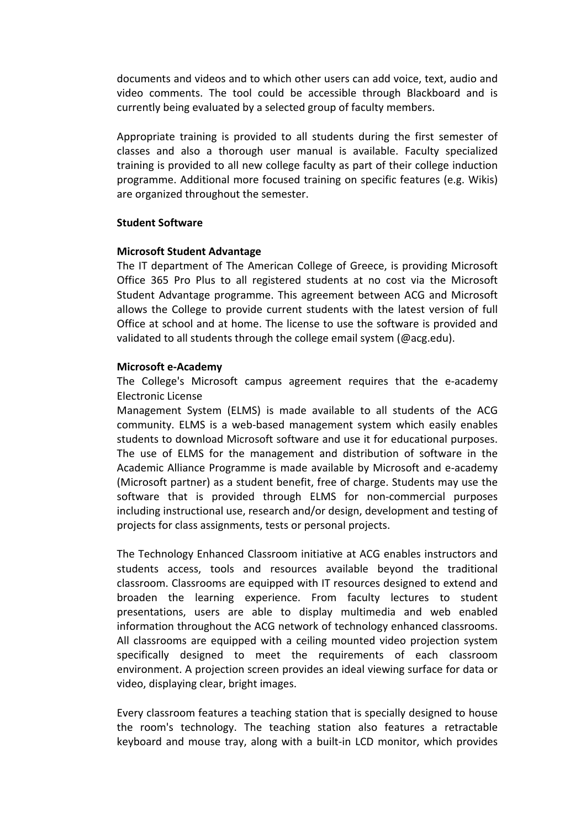documents and videos and to which other users can add voice, text, audio and video comments. The tool could be accessible through Blackboard and is currently being evaluated by a selected group of faculty members.

Appropriate training is provided to all students during the first semester of classes and also a thorough user manual is available. Faculty specialized training is provided to all new college faculty as part of their college induction programme. Additional more focused training on specific features (e.g. Wikis) are organized throughout the semester.

#### **Student Software**

# **Microsoft Student Advantage**

The IT department of The American College of Greece, is providing Microsoft Office 365 Pro Plus to all registered students at no cost via the Microsoft Student Advantage programme. This agreement between ACG and Microsoft allows the College to provide current students with the latest version of full Office at school and at home. The license to use the software is provided and validated to all students through the college email system (@acg.edu).

# **Microsoft e-Academy**

The College's Microsoft campus agreement requires that the e-academy Electronic License

Management System (ELMS) is made available to all students of the ACG community. ELMS is a web-based management system which easily enables students to download Microsoft software and use it for educational purposes. The use of ELMS for the management and distribution of software in the Academic Alliance Programme is made available by Microsoft and e-academy (Microsoft partner) as a student benefit, free of charge. Students may use the software that is provided through ELMS for non-commercial purposes including instructional use, research and/or design, development and testing of projects for class assignments, tests or personal projects.

The Technology Enhanced Classroom initiative at ACG enables instructors and students access, tools and resources available beyond the traditional classroom. Classrooms are equipped with IT resources designed to extend and broaden the learning experience. From faculty lectures to student presentations, users are able to display multimedia and web enabled information throughout the ACG network of technology enhanced classrooms. All classrooms are equipped with a ceiling mounted video projection system specifically designed to meet the requirements of each classroom environment. A projection screen provides an ideal viewing surface for data or video, displaying clear, bright images.

Every classroom features a teaching station that is specially designed to house the room's technology. The teaching station also features a retractable keyboard and mouse tray, along with a built-in LCD monitor, which provides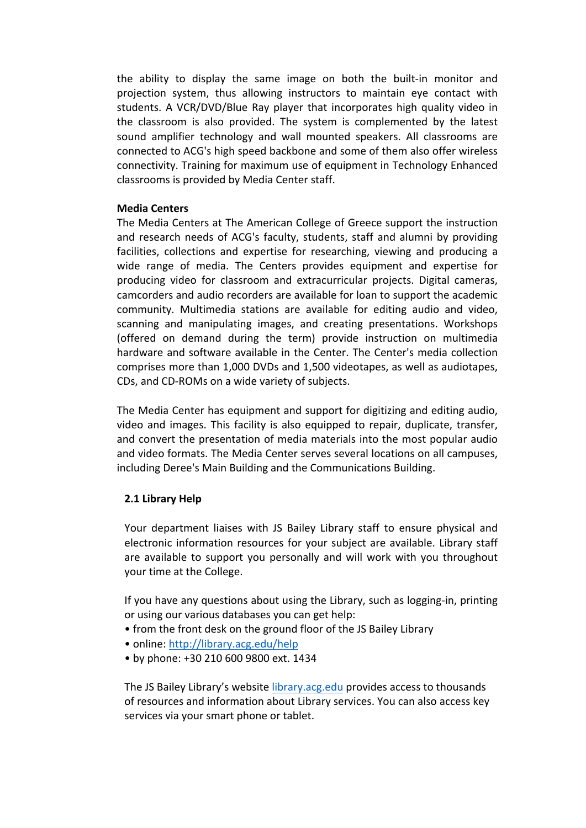the ability to display the same image on both the built-in monitor and projection system, thus allowing instructors to maintain eye contact with students. A VCR/DVD/Blue Ray player that incorporates high quality video in the classroom is also provided. The system is complemented by the latest sound amplifier technology and wall mounted speakers. All classrooms are connected to ACG's high speed backbone and some of them also offer wireless connectivity. Training for maximum use of equipment in Technology Enhanced classrooms is provided by Media Center staff.

# **Media Centers**

The Media Centers at The American College of Greece support the instruction and research needs of ACG's faculty, students, staff and alumni by providing facilities, collections and expertise for researching, viewing and producing a wide range of media. The Centers provides equipment and expertise for producing video for classroom and extracurricular projects. Digital cameras, camcorders and audio recorders are available for loan to support the academic community. Multimedia stations are available for editing audio and video, scanning and manipulating images, and creating presentations. Workshops (offered on demand during the term) provide instruction on multimedia hardware and software available in the Center. The Center's media collection comprises more than 1,000 DVDs and 1,500 videotapes, as well as audiotapes, CDs, and CD-ROMs on a wide variety of subjects.

The Media Center has equipment and support for digitizing and editing audio, video and images. This facility is also equipped to repair, duplicate, transfer, and convert the presentation of media materials into the most popular audio and video formats. The Media Center serves several locations on all campuses, including Deree's Main Building and the Communications Building.

# **2.1 Library Help**

Your department liaises with JS Bailey Library staff to ensure physical and electronic information resources for your subject are available. Library staff are available to support you personally and will work with you throughout your time at the College.

If you have any questions about using the Library, such as logging-in, printing or using our various databases you can get help:

- from the front desk on the ground floor of the JS Bailey Library
- online: http://library.acg.edu/help
- by phone: +30 210 600 9800 ext. 1434

The JS Bailey Library's website library.acg.edu provides access to thousands of resources and information about Library services. You can also access key services via your smart phone or tablet.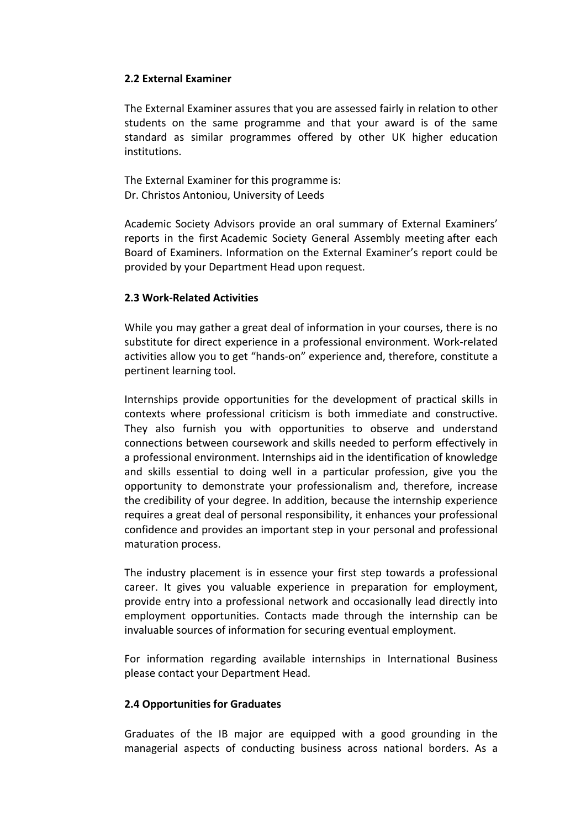# **2.2 External Examiner**

The External Examiner assures that you are assessed fairly in relation to other students on the same programme and that your award is of the same standard as similar programmes offered by other UK higher education institutions. 

The External Examiner for this programme is: Dr. Christos Antoniou, University of Leeds

Academic Society Advisors provide an oral summary of External Examiners' reports in the first Academic Society General Assembly meeting after each Board of Examiners. Information on the External Examiner's report could be provided by your Department Head upon request.

# **2.3 Work-Related Activities**

While you may gather a great deal of information in your courses, there is no substitute for direct experience in a professional environment. Work-related activities allow you to get "hands-on" experience and, therefore, constitute a pertinent learning tool.

Internships provide opportunities for the development of practical skills in contexts where professional criticism is both immediate and constructive. They also furnish you with opportunities to observe and understand connections between coursework and skills needed to perform effectively in a professional environment. Internships aid in the identification of knowledge and skills essential to doing well in a particular profession, give you the opportunity to demonstrate your professionalism and, therefore, increase the credibility of your degree. In addition, because the internship experience requires a great deal of personal responsibility, it enhances your professional confidence and provides an important step in your personal and professional maturation process.

The industry placement is in essence your first step towards a professional career. It gives you valuable experience in preparation for employment, provide entry into a professional network and occasionally lead directly into employment opportunities. Contacts made through the internship can be invaluable sources of information for securing eventual employment.

For information regarding available internships in International Business please contact your Department Head.

# **2.4 Opportunities for Graduates**

Graduates of the IB major are equipped with a good grounding in the managerial aspects of conducting business across national borders. As a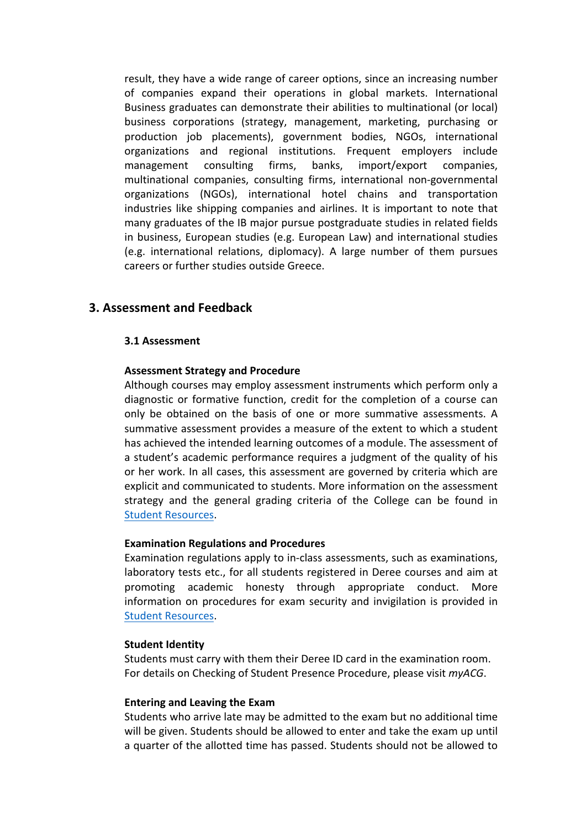result, they have a wide range of career options, since an increasing number of companies expand their operations in global markets. International Business graduates can demonstrate their abilities to multinational (or local) business corporations (strategy, management, marketing, purchasing or production job placements), government bodies, NGOs, international organizations and regional institutions. Frequent employers include management consulting firms, banks, import/export companies, multinational companies, consulting firms, international non-governmental organizations (NGOs), international hotel chains and transportation industries like shipping companies and airlines. It is important to note that many graduates of the IB major pursue postgraduate studies in related fields in business, European studies (e.g. European Law) and international studies  $(e.g.$  international relations, diplomacy). A large number of them pursues careers or further studies outside Greece.

# **3. Assessment and Feedback**

#### **3.1 Assessment**

# **Assessment Strategy and Procedure**

Although courses may employ assessment instruments which perform only a diagnostic or formative function, credit for the completion of a course can only be obtained on the basis of one or more summative assessments. A summative assessment provides a measure of the extent to which a student has achieved the intended learning outcomes of a module. The assessment of a student's academic performance requires a judgment of the quality of his or her work. In all cases, this assessment are governed by criteria which are explicit and communicated to students. More information on the assessment strategy and the general grading criteria of the College can be found in **Student Resources.** 

# **Examination Regulations and Procedures**

Examination regulations apply to in-class assessments, such as examinations, laboratory tests etc., for all students registered in Deree courses and aim at promoting academic honesty through appropriate conduct. More information on procedures for exam security and invigilation is provided in Student Resources.

#### **Student Identity**

Students must carry with them their Deree ID card in the examination room. For details on Checking of Student Presence Procedure, please visit *myACG*.

#### **Entering and Leaving the Exam**

Students who arrive late may be admitted to the exam but no additional time will be given. Students should be allowed to enter and take the exam up until a quarter of the allotted time has passed. Students should not be allowed to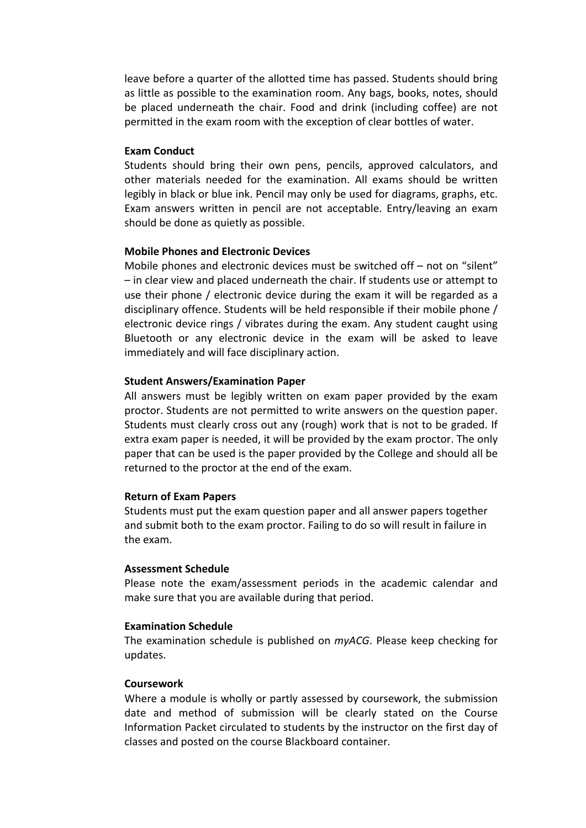leave before a quarter of the allotted time has passed. Students should bring as little as possible to the examination room. Any bags, books, notes, should be placed underneath the chair. Food and drink (including coffee) are not permitted in the exam room with the exception of clear bottles of water.

# **Exam Conduct**

Students should bring their own pens, pencils, approved calculators, and other materials needed for the examination. All exams should be written legibly in black or blue ink. Pencil may only be used for diagrams, graphs, etc. Exam answers written in pencil are not acceptable. Entry/leaving an exam should be done as quietly as possible.

#### **Mobile Phones and Electronic Devices**

Mobile phones and electronic devices must be switched off  $-$  not on "silent" – in clear view and placed underneath the chair. If students use or attempt to use their phone / electronic device during the exam it will be regarded as a disciplinary offence. Students will be held responsible if their mobile phone / electronic device rings / vibrates during the exam. Any student caught using Bluetooth or any electronic device in the exam will be asked to leave immediately and will face disciplinary action.

#### **Student Answers/Examination Paper**

All answers must be legibly written on exam paper provided by the exam proctor. Students are not permitted to write answers on the question paper. Students must clearly cross out any (rough) work that is not to be graded. If extra exam paper is needed, it will be provided by the exam proctor. The only paper that can be used is the paper provided by the College and should all be returned to the proctor at the end of the exam.

#### **Return of Exam Papers**

Students must put the exam question paper and all answer papers together and submit both to the exam proctor. Failing to do so will result in failure in the exam.

#### **Assessment Schedule**

Please note the exam/assessment periods in the academic calendar and make sure that you are available during that period.

#### **Examination Schedule**

The examination schedule is published on *myACG*. Please keep checking for updates.

### **Coursework**

Where a module is wholly or partly assessed by coursework, the submission date and method of submission will be clearly stated on the Course Information Packet circulated to students by the instructor on the first day of classes and posted on the course Blackboard container.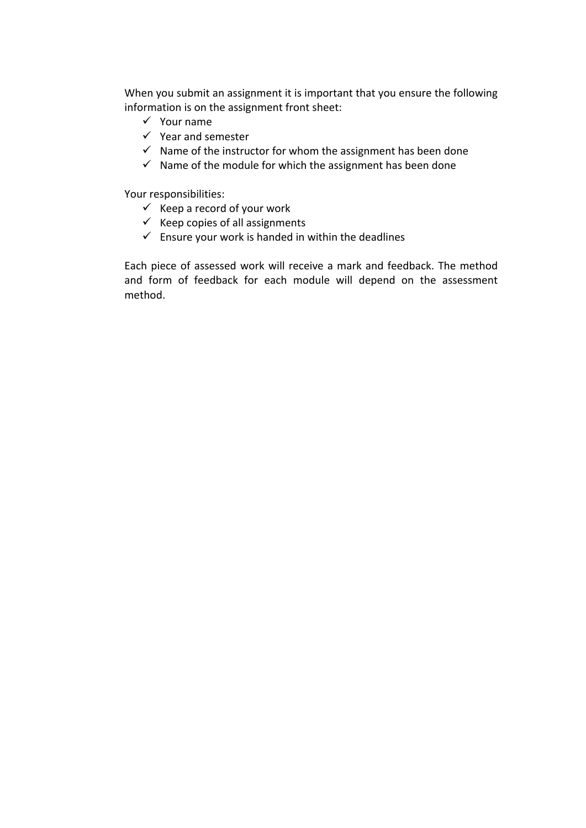When you submit an assignment it is important that you ensure the following information is on the assignment front sheet:

- $\checkmark$  Your name
- $\checkmark$  Year and semester
- $\checkmark$  Name of the instructor for whom the assignment has been done
- $\checkmark$  Name of the module for which the assignment has been done

Your responsibilities:

- $\checkmark$  Keep a record of your work
- $\checkmark$  Keep copies of all assignments
- $\checkmark$  Ensure your work is handed in within the deadlines

Each piece of assessed work will receive a mark and feedback. The method and form of feedback for each module will depend on the assessment method.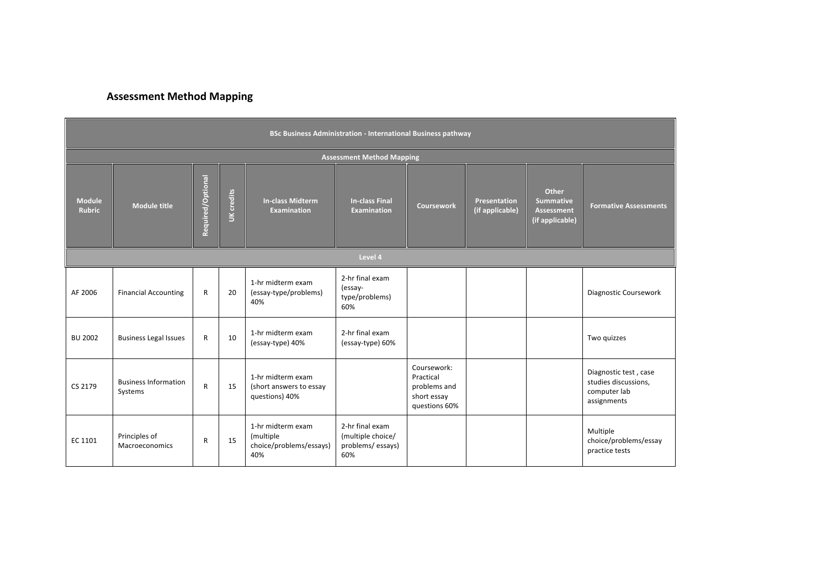# **Assessment Method Mapping**

| <b>BSc Business Administration - International Business pathway</b> |                                        |                   |            |                                                                  |                                                                 |                                                                          |                                 |                                                                   |                                                                              |  |  |
|---------------------------------------------------------------------|----------------------------------------|-------------------|------------|------------------------------------------------------------------|-----------------------------------------------------------------|--------------------------------------------------------------------------|---------------------------------|-------------------------------------------------------------------|------------------------------------------------------------------------------|--|--|
| <b>Assessment Method Mapping</b>                                    |                                        |                   |            |                                                                  |                                                                 |                                                                          |                                 |                                                                   |                                                                              |  |  |
| <b>Module</b><br><b>Rubric</b>                                      | <b>Module title</b>                    | Required/Optional | UK credits | <b>In-class Midterm</b><br><b>Examination</b>                    | <b>In-class Final</b><br><b>Examination</b>                     | <b>Coursework</b>                                                        | Presentation<br>(if applicable) | Other<br><b>Summative</b><br><b>Assessment</b><br>(if applicable) | <b>Formative Assessments</b>                                                 |  |  |
|                                                                     |                                        |                   |            |                                                                  | Level 4                                                         |                                                                          |                                 |                                                                   |                                                                              |  |  |
| AF 2006                                                             | <b>Financial Accounting</b>            | $\mathsf{R}$      | 20         | 1-hr midterm exam<br>(essay-type/problems)<br>40%                | 2-hr final exam<br>(essay-<br>type/problems)<br>60%             |                                                                          |                                 |                                                                   | Diagnostic Coursework                                                        |  |  |
| <b>BU 2002</b>                                                      | <b>Business Legal Issues</b>           | R                 | 10         | 1-hr midterm exam<br>(essay-type) 40%                            | 2-hr final exam<br>(essay-type) 60%                             |                                                                          |                                 |                                                                   | Two quizzes                                                                  |  |  |
| CS 2179                                                             | <b>Business Information</b><br>Systems | $\mathsf{R}$      | 15         | 1-hr midterm exam<br>(short answers to essay<br>questions) 40%   |                                                                 | Coursework:<br>Practical<br>problems and<br>short essay<br>questions 60% |                                 |                                                                   | Diagnostic test, case<br>studies discussions,<br>computer lab<br>assignments |  |  |
| EC 1101                                                             | Principles of<br>Macroeconomics        | R                 | 15         | 1-hr midterm exam<br>(multiple<br>choice/problems/essays)<br>40% | 2-hr final exam<br>(multiple choice/<br>problems/essays)<br>60% |                                                                          |                                 |                                                                   | Multiple<br>choice/problems/essay<br>practice tests                          |  |  |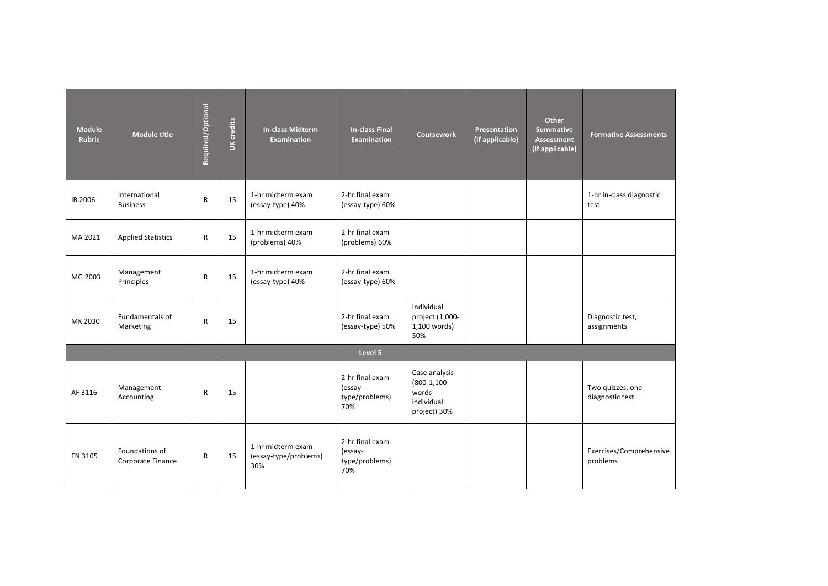| <b>Module</b><br><b>Rubric</b> | <b>Module title</b>                 | Required/Optional | UK credits | <b>In-class Midterm</b><br><b>Examination</b>     | <b>In-class Final</b><br><b>Examination</b>         | <b>Coursework</b>                                                      | Presentation<br>(if applicable) | Other<br><b>Summative</b><br><b>Assessment</b><br>(if applicable) | <b>Formative Assessments</b>        |
|--------------------------------|-------------------------------------|-------------------|------------|---------------------------------------------------|-----------------------------------------------------|------------------------------------------------------------------------|---------------------------------|-------------------------------------------------------------------|-------------------------------------|
| IB 2006                        | International<br><b>Business</b>    | $\mathsf{R}$      | 15         | 1-hr midterm exam<br>(essay-type) 40%             | 2-hr final exam<br>(essay-type) 60%                 |                                                                        |                                 |                                                                   | 1-hr in-class diagnostic<br>test    |
| MA 2021                        | <b>Applied Statistics</b>           | $\mathsf{R}$      | 15         | 1-hr midterm exam<br>(problems) 40%               | 2-hr final exam<br>(problems) 60%                   |                                                                        |                                 |                                                                   |                                     |
| MG 2003                        | Management<br>Principles            | $\mathsf{R}$      | 15         | 1-hr midterm exam<br>(essay-type) 40%             | 2-hr final exam<br>(essay-type) 60%                 |                                                                        |                                 |                                                                   |                                     |
| MK 2030                        | Fundamentals of<br>Marketing        | $\mathsf{R}$      | 15         |                                                   | 2-hr final exam<br>(essay-type) 50%                 | Individual<br>project (1,000-<br>1,100 words)<br>50%                   |                                 |                                                                   | Diagnostic test,<br>assignments     |
|                                |                                     |                   |            |                                                   | Level 5                                             |                                                                        |                                 |                                                                   |                                     |
| AF 3116                        | Management<br>Accounting            | ${\sf R}$         | 15         |                                                   | 2-hr final exam<br>(essay-<br>type/problems)<br>70% | Case analysis<br>$(800-1, 100)$<br>words<br>individual<br>project) 30% |                                 |                                                                   | Two quizzes, one<br>diagnostic test |
| FN 3105                        | Foundations of<br>Corporate Finance | R                 | 15         | 1-hr midterm exam<br>(essay-type/problems)<br>30% | 2-hr final exam<br>(essay-<br>type/problems)<br>70% |                                                                        |                                 |                                                                   | Exercises/Comprehensive<br>problems |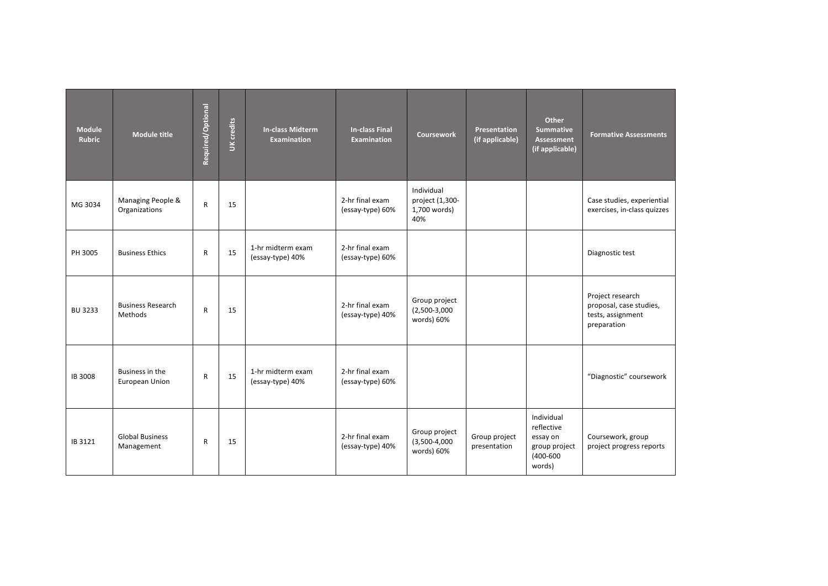| <b>Module</b><br><b>Rubric</b> | <b>Module title</b>                  | Required/Optional | UK credits | <b>In-class Midterm</b><br><b>Examination</b> | <b>In-class Final</b><br><b>Examination</b> | <b>Coursework</b>                                    | Presentation<br>(if applicable) | Other<br>Summative<br><b>Assessment</b><br>(if applicable)                       | <b>Formative Assessments</b>                                                    |
|--------------------------------|--------------------------------------|-------------------|------------|-----------------------------------------------|---------------------------------------------|------------------------------------------------------|---------------------------------|----------------------------------------------------------------------------------|---------------------------------------------------------------------------------|
| MG 3034                        | Managing People &<br>Organizations   | $\mathsf{R}$      | 15         |                                               | 2-hr final exam<br>(essay-type) 60%         | Individual<br>project (1,300-<br>1,700 words)<br>40% |                                 |                                                                                  | Case studies, experiential<br>exercises, in-class quizzes                       |
| PH 3005                        | <b>Business Ethics</b>               | $\mathsf{R}$      | 15         | 1-hr midterm exam<br>(essay-type) 40%         | 2-hr final exam<br>(essay-type) 60%         |                                                      |                                 |                                                                                  | Diagnostic test                                                                 |
| <b>BU 3233</b>                 | <b>Business Research</b><br>Methods  | $\mathsf{R}$      | 15         |                                               | 2-hr final exam<br>(essay-type) 40%         | Group project<br>$(2,500-3,000)$<br>words) 60%       |                                 |                                                                                  | Project research<br>proposal, case studies,<br>tests, assignment<br>preparation |
| IB 3008                        | Business in the<br>European Union    | $\mathsf{R}$      | 15         | 1-hr midterm exam<br>(essay-type) 40%         | 2-hr final exam<br>(essay-type) 60%         |                                                      |                                 |                                                                                  | "Diagnostic" coursework                                                         |
| IB 3121                        | <b>Global Business</b><br>Management | $\mathsf{R}$      | 15         |                                               | 2-hr final exam<br>(essay-type) 40%         | Group project<br>$(3,500-4,000)$<br>words) 60%       | Group project<br>presentation   | Individual<br>reflective<br>essay on<br>group project<br>$(400 - 600)$<br>words) | Coursework, group<br>project progress reports                                   |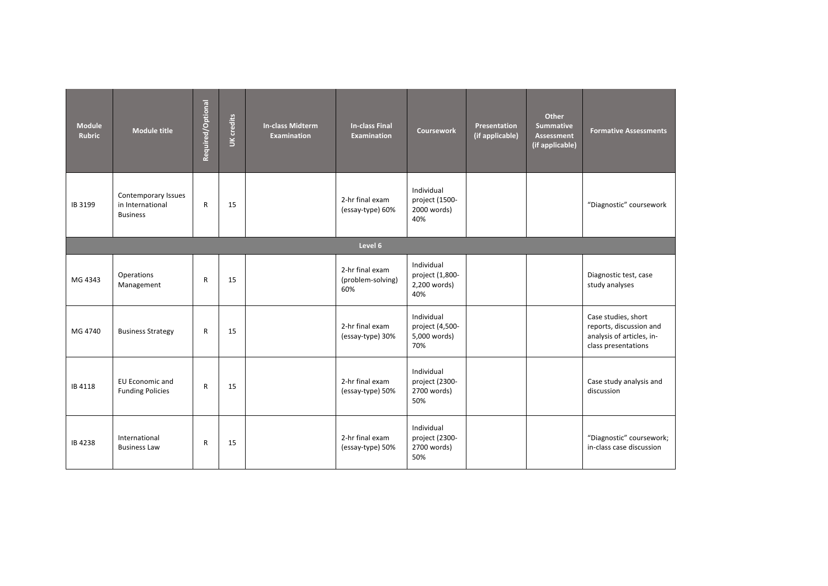| <b>Module</b><br><b>Rubric</b> | <b>Module title</b>                                        | Required/Optional | UK credits | <b>In-class Midterm</b><br><b>Examination</b> | <b>In-class Final</b><br><b>Examination</b> | <b>Coursework</b>                                    | Presentation<br>(if applicable) | Other<br><b>Summative</b><br><b>Assessment</b><br>(if applicable) | <b>Formative Assessments</b>                                                                       |
|--------------------------------|------------------------------------------------------------|-------------------|------------|-----------------------------------------------|---------------------------------------------|------------------------------------------------------|---------------------------------|-------------------------------------------------------------------|----------------------------------------------------------------------------------------------------|
| IB 3199                        | Contemporary Issues<br>in International<br><b>Business</b> | $\mathsf{R}$      | 15         |                                               | 2-hr final exam<br>(essay-type) 60%         | Individual<br>project (1500-<br>2000 words)<br>40%   |                                 |                                                                   | "Diagnostic" coursework                                                                            |
|                                |                                                            |                   |            |                                               | Level 6                                     |                                                      |                                 |                                                                   |                                                                                                    |
| MG 4343                        | Operations<br>Management                                   | $\mathsf{R}$      | 15         |                                               | 2-hr final exam<br>(problem-solving)<br>60% | Individual<br>project (1,800-<br>2,200 words)<br>40% |                                 |                                                                   | Diagnostic test, case<br>study analyses                                                            |
| MG 4740                        | <b>Business Strategy</b>                                   | $\mathsf{R}$      | 15         |                                               | 2-hr final exam<br>(essay-type) 30%         | Individual<br>project (4,500-<br>5,000 words)<br>70% |                                 |                                                                   | Case studies, short<br>reports, discussion and<br>analysis of articles, in-<br>class presentations |
| IB 4118                        | EU Economic and<br><b>Funding Policies</b>                 | $\mathsf{R}$      | 15         |                                               | 2-hr final exam<br>(essay-type) 50%         | Individual<br>project (2300-<br>2700 words)<br>50%   |                                 |                                                                   | Case study analysis and<br>discussion                                                              |
| IB 4238                        | International<br><b>Business Law</b>                       | $\mathsf{R}$      | 15         |                                               | 2-hr final exam<br>(essay-type) 50%         | Individual<br>project (2300-<br>2700 words)<br>50%   |                                 |                                                                   | "Diagnostic" coursework;<br>in-class case discussion                                               |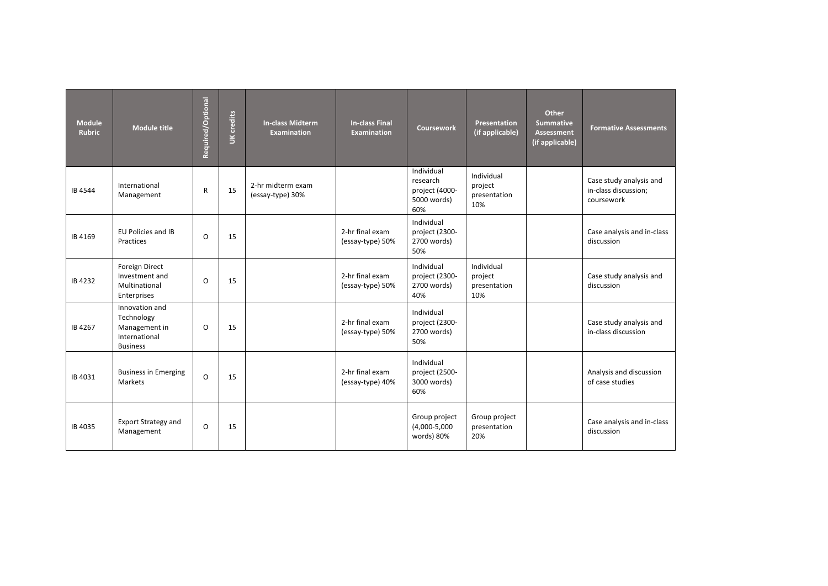| <b>Module</b><br><b>Rubric</b> | <b>Module title</b>                                                               | Required/Optional | UK credits | <b>In-class Midterm</b><br><b>Examination</b> | <b>In-class Final</b><br><b>Examination</b> | <b>Coursework</b>                                              | <b>Presentation</b><br>(if applicable)       | Other<br><b>Summative</b><br><b>Assessment</b><br>(if applicable) | <b>Formative Assessments</b>                                  |
|--------------------------------|-----------------------------------------------------------------------------------|-------------------|------------|-----------------------------------------------|---------------------------------------------|----------------------------------------------------------------|----------------------------------------------|-------------------------------------------------------------------|---------------------------------------------------------------|
| IB 4544                        | International<br>Management                                                       | $\mathsf{R}$      | 15         | 2-hr midterm exam<br>(essay-type) 30%         |                                             | Individual<br>research<br>project (4000-<br>5000 words)<br>60% | Individual<br>project<br>presentation<br>10% |                                                                   | Case study analysis and<br>in-class discussion;<br>coursework |
| IB 4169                        | <b>EU Policies and IB</b><br>Practices                                            | O                 | 15         |                                               | 2-hr final exam<br>(essay-type) 50%         | Individual<br>project (2300-<br>2700 words)<br>50%             |                                              |                                                                   | Case analysis and in-class<br>discussion                      |
| IB 4232                        | Foreign Direct<br>Investment and<br>Multinational<br>Enterprises                  | O                 | 15         |                                               | 2-hr final exam<br>(essay-type) 50%         | Individual<br>project (2300-<br>2700 words)<br>40%             | Individual<br>project<br>presentation<br>10% |                                                                   | Case study analysis and<br>discussion                         |
| IB 4267                        | Innovation and<br>Technology<br>Management in<br>International<br><b>Business</b> | O                 | 15         |                                               | 2-hr final exam<br>(essay-type) 50%         | Individual<br>project (2300-<br>2700 words)<br>50%             |                                              |                                                                   | Case study analysis and<br>in-class discussion                |
| IB 4031                        | <b>Business in Emerging</b><br>Markets                                            | O                 | 15         |                                               | 2-hr final exam<br>(essay-type) 40%         | Individual<br>project (2500-<br>3000 words)<br>60%             |                                              |                                                                   | Analysis and discussion<br>of case studies                    |
| IB 4035                        | <b>Export Strategy and</b><br>Management                                          | O                 | 15         |                                               |                                             | Group project<br>$(4,000-5,000)$<br>words) 80%                 | Group project<br>presentation<br>20%         |                                                                   | Case analysis and in-class<br>discussion                      |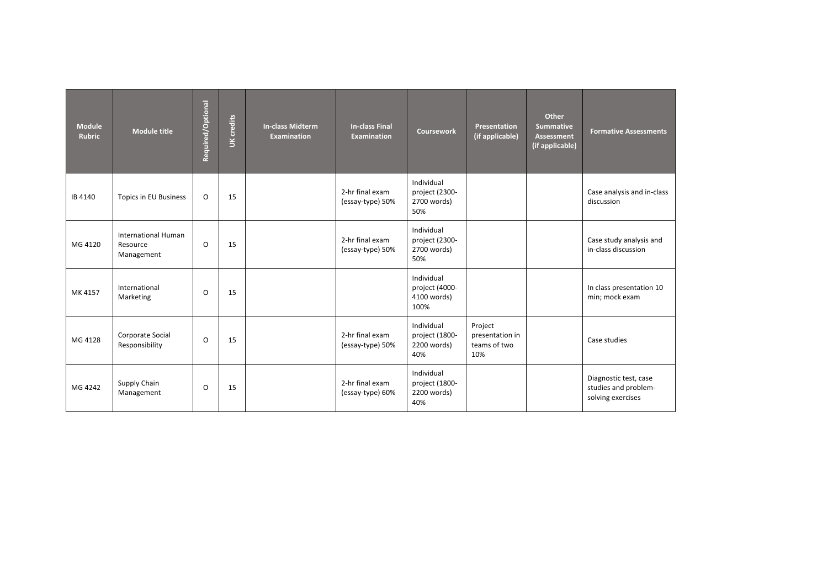| <b>Module</b><br><b>Rubric</b> | <b>Module title</b>                                  | Required/Optional | UK credits | <b>In-class Midterm</b><br><b>Examination</b> | <b>In-class Final</b><br><b>Examination</b> | <b>Coursework</b>                                   | Presentation<br>(if applicable)                   | <b>Other</b><br><b>Summative</b><br><b>Assessment</b><br>(if applicable) | <b>Formative Assessments</b>                                       |
|--------------------------------|------------------------------------------------------|-------------------|------------|-----------------------------------------------|---------------------------------------------|-----------------------------------------------------|---------------------------------------------------|--------------------------------------------------------------------------|--------------------------------------------------------------------|
| IB 4140                        | <b>Topics in EU Business</b>                         | O                 | 15         |                                               | 2-hr final exam<br>(essay-type) 50%         | Individual<br>project (2300-<br>2700 words)<br>50%  |                                                   |                                                                          | Case analysis and in-class<br>discussion                           |
| MG 4120                        | <b>International Human</b><br>Resource<br>Management | O                 | 15         |                                               | 2-hr final exam<br>(essay-type) 50%         | Individual<br>project (2300-<br>2700 words)<br>50%  |                                                   |                                                                          | Case study analysis and<br>in-class discussion                     |
| MK 4157                        | International<br>Marketing                           | O                 | 15         |                                               |                                             | Individual<br>project (4000-<br>4100 words)<br>100% |                                                   |                                                                          | In class presentation 10<br>min; mock exam                         |
| MG 4128                        | Corporate Social<br>Responsibility                   | O                 | 15         |                                               | 2-hr final exam<br>(essay-type) 50%         | Individual<br>project (1800-<br>2200 words)<br>40%  | Project<br>presentation in<br>teams of two<br>10% |                                                                          | Case studies                                                       |
| MG 4242                        | Supply Chain<br>Management                           | $\circ$           | 15         |                                               | 2-hr final exam<br>(essay-type) 60%         | Individual<br>project (1800-<br>2200 words)<br>40%  |                                                   |                                                                          | Diagnostic test, case<br>studies and problem-<br>solving exercises |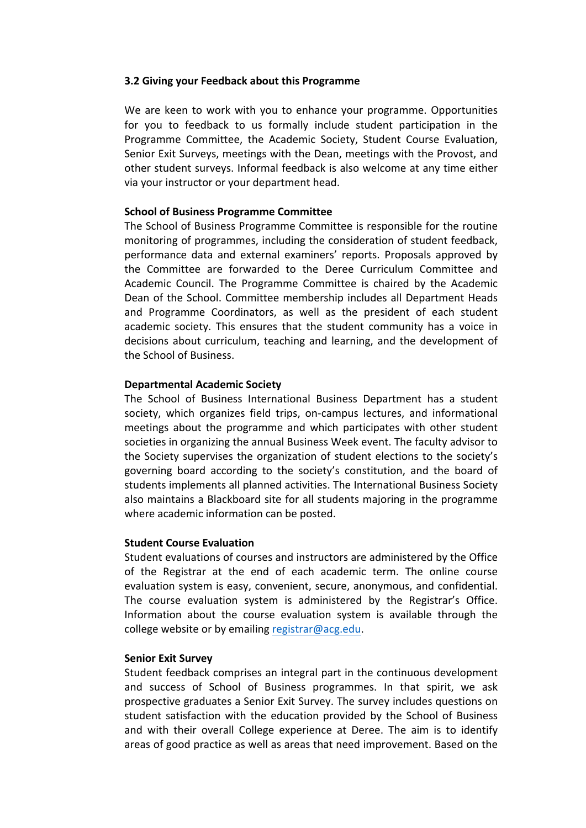# **3.2 Giving your Feedback about this Programme**

We are keen to work with you to enhance your programme. Opportunities for you to feedback to us formally include student participation in the Programme Committee, the Academic Society, Student Course Evaluation, Senior Exit Surveys, meetings with the Dean, meetings with the Provost, and other student surveys. Informal feedback is also welcome at any time either via your instructor or your department head.

# **School of Business Programme Committee**

The School of Business Programme Committee is responsible for the routine monitoring of programmes, including the consideration of student feedback, performance data and external examiners' reports. Proposals approved by the Committee are forwarded to the Deree Curriculum Committee and Academic Council. The Programme Committee is chaired by the Academic Dean of the School. Committee membership includes all Department Heads and Programme Coordinators, as well as the president of each student academic society. This ensures that the student community has a voice in decisions about curriculum, teaching and learning, and the development of the School of Business.

# **Departmental Academic Society**

The School of Business International Business Department has a student society, which organizes field trips, on-campus lectures, and informational meetings about the programme and which participates with other student societies in organizing the annual Business Week event. The faculty advisor to the Society supervises the organization of student elections to the society's governing board according to the society's constitution, and the board of students implements all planned activities. The International Business Society also maintains a Blackboard site for all students majoring in the programme where academic information can be posted.

# **Student Course Evaluation**

Student evaluations of courses and instructors are administered by the Office of the Registrar at the end of each academic term. The online course evaluation system is easy, convenient, secure, anonymous, and confidential. The course evaluation system is administered by the Registrar's Office. Information about the course evaluation system is available through the college website or by emailing registrar@acg.edu.

#### **Senior Exit Survey**

Student feedback comprises an integral part in the continuous development and success of School of Business programmes. In that spirit, we ask prospective graduates a Senior Exit Survey. The survey includes questions on student satisfaction with the education provided by the School of Business and with their overall College experience at Deree. The aim is to identify areas of good practice as well as areas that need improvement. Based on the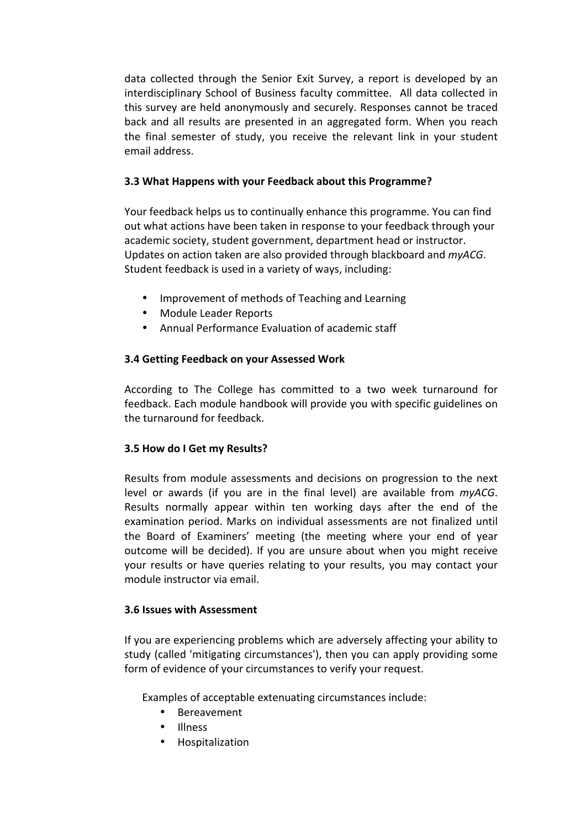data collected through the Senior Exit Survey, a report is developed by an interdisciplinary School of Business faculty committee. All data collected in this survey are held anonymously and securely. Responses cannot be traced back and all results are presented in an aggregated form. When you reach the final semester of study, you receive the relevant link in your student email address.

# **3.3 What Happens with your Feedback about this Programme?**

Your feedback helps us to continually enhance this programme. You can find out what actions have been taken in response to your feedback through your academic society, student government, department head or instructor. Updates on action taken are also provided through blackboard and *myACG*. Student feedback is used in a variety of ways, including:

- Improvement of methods of Teaching and Learning
- Module Leader Reports
- Annual Performance Evaluation of academic staff

# **3.4 Getting Feedback on your Assessed Work**

According to The College has committed to a two week turnaround for feedback. Each module handbook will provide you with specific guidelines on the turnaround for feedback.

# **3.5 How do I Get my Results?**

Results from module assessments and decisions on progression to the next level or awards (if you are in the final level) are available from *myACG*. Results normally appear within ten working days after the end of the examination period. Marks on individual assessments are not finalized until the Board of Examiners' meeting (the meeting where your end of year outcome will be decided). If you are unsure about when you might receive your results or have queries relating to your results, you may contact your module instructor via email.

# **3.6 Issues with Assessment**

If you are experiencing problems which are adversely affecting your ability to study (called 'mitigating circumstances'), then you can apply providing some form of evidence of your circumstances to verify your request.

Examples of acceptable extenuating circumstances include:

- Bereavement
- Illness
- Hospitalization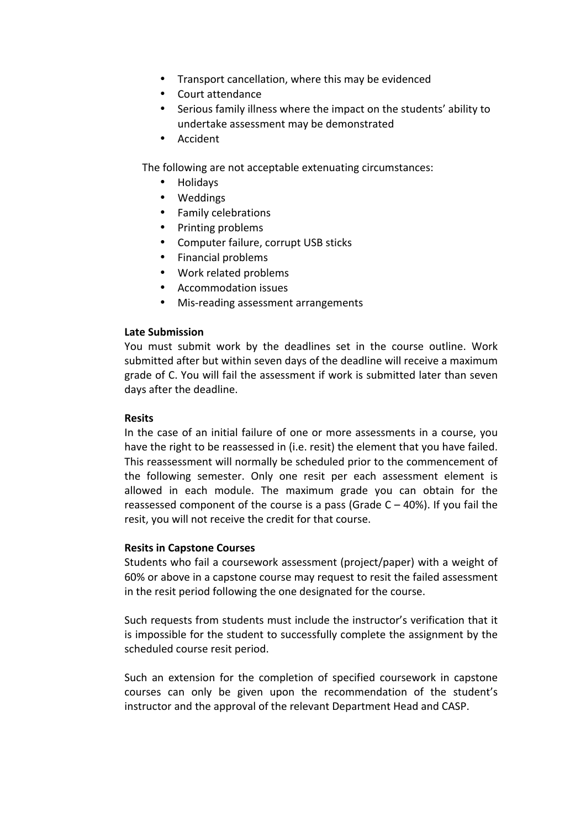- Transport cancellation, where this may be evidenced
- Court attendance
- Serious family illness where the impact on the students' ability to undertake assessment may be demonstrated
- Accident

The following are not acceptable extenuating circumstances:

- Holidays
- Weddings
- Family celebrations
- Printing problems
- Computer failure, corrupt USB sticks
- Financial problems
- Work related problems
- Accommodation issues
- Mis-reading assessment arrangements

# **Late Submission**

You must submit work by the deadlines set in the course outline. Work submitted after but within seven days of the deadline will receive a maximum grade of C. You will fail the assessment if work is submitted later than seven days after the deadline.

# **Resits**

In the case of an initial failure of one or more assessments in a course, you have the right to be reassessed in (i.e. resit) the element that you have failed. This reassessment will normally be scheduled prior to the commencement of the following semester. Only one resit per each assessment element is allowed in each module. The maximum grade you can obtain for the reassessed component of the course is a pass (Grade  $C - 40$ %). If you fail the resit, you will not receive the credit for that course.

#### **Resits in Capstone Courses**

Students who fail a coursework assessment (project/paper) with a weight of 60% or above in a capstone course may request to resit the failed assessment in the resit period following the one designated for the course.

Such requests from students must include the instructor's verification that it is impossible for the student to successfully complete the assignment by the scheduled course resit period.

Such an extension for the completion of specified coursework in capstone courses can only be given upon the recommendation of the student's instructor and the approval of the relevant Department Head and CASP.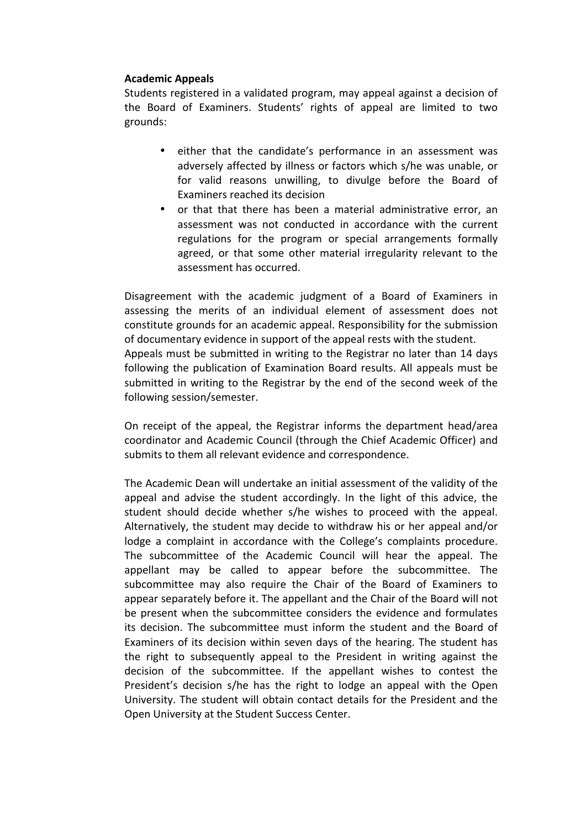# **Academic Appeals**

Students registered in a validated program, may appeal against a decision of the Board of Examiners. Students' rights of appeal are limited to two grounds:

- either that the candidate's performance in an assessment was adversely affected by illness or factors which s/he was unable, or for valid reasons unwilling, to divulge before the Board of Examiners reached its decision
- or that that there has been a material administrative error, an assessment was not conducted in accordance with the current regulations for the program or special arrangements formally agreed, or that some other material irregularity relevant to the assessment has occurred.

Disagreement with the academic judgment of a Board of Examiners in assessing the merits of an individual element of assessment does not constitute grounds for an academic appeal. Responsibility for the submission of documentary evidence in support of the appeal rests with the student. Appeals must be submitted in writing to the Registrar no later than 14 days following the publication of Examination Board results. All appeals must be submitted in writing to the Registrar by the end of the second week of the following session/semester.

On receipt of the appeal, the Registrar informs the department head/area coordinator and Academic Council (through the Chief Academic Officer) and submits to them all relevant evidence and correspondence.

The Academic Dean will undertake an initial assessment of the validity of the appeal and advise the student accordingly. In the light of this advice, the student should decide whether s/he wishes to proceed with the appeal. Alternatively, the student may decide to withdraw his or her appeal and/or lodge a complaint in accordance with the College's complaints procedure. The subcommittee of the Academic Council will hear the appeal. The appellant may be called to appear before the subcommittee. The subcommittee may also require the Chair of the Board of Examiners to appear separately before it. The appellant and the Chair of the Board will not be present when the subcommittee considers the evidence and formulates its decision. The subcommittee must inform the student and the Board of Examiners of its decision within seven days of the hearing. The student has the right to subsequently appeal to the President in writing against the decision of the subcommittee. If the appellant wishes to contest the President's decision s/he has the right to lodge an appeal with the Open University. The student will obtain contact details for the President and the Open University at the Student Success Center.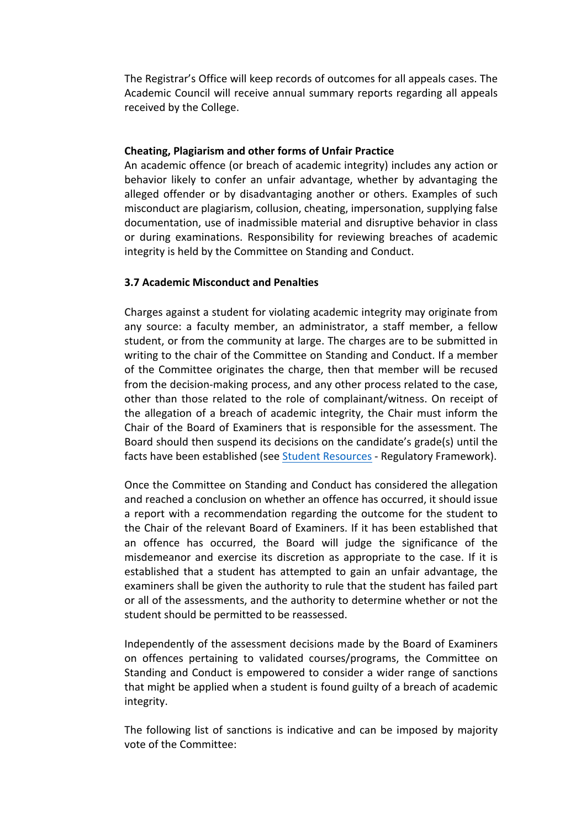The Registrar's Office will keep records of outcomes for all appeals cases. The Academic Council will receive annual summary reports regarding all appeals received by the College.

# **Cheating, Plagiarism and other forms of Unfair Practice**

An academic offence (or breach of academic integrity) includes any action or behavior likely to confer an unfair advantage, whether by advantaging the alleged offender or by disadvantaging another or others. Examples of such misconduct are plagiarism, collusion, cheating, impersonation, supplying false documentation, use of inadmissible material and disruptive behavior in class or during examinations. Responsibility for reviewing breaches of academic integrity is held by the Committee on Standing and Conduct.

# **3.7 Academic Misconduct and Penalties**

Charges against a student for violating academic integrity may originate from any source: a faculty member, an administrator, a staff member, a fellow student, or from the community at large. The charges are to be submitted in writing to the chair of the Committee on Standing and Conduct. If a member of the Committee originates the charge, then that member will be recused from the decision-making process, and any other process related to the case, other than those related to the role of complainant/witness. On receipt of the allegation of a breach of academic integrity, the Chair must inform the Chair of the Board of Examiners that is responsible for the assessment. The Board should then suspend its decisions on the candidate's grade(s) until the facts have been established (see Student Resources - Regulatory Framework).

Once the Committee on Standing and Conduct has considered the allegation and reached a conclusion on whether an offence has occurred, it should issue a report with a recommendation regarding the outcome for the student to the Chair of the relevant Board of Examiners. If it has been established that an offence has occurred, the Board will judge the significance of the misdemeanor and exercise its discretion as appropriate to the case. If it is established that a student has attempted to gain an unfair advantage, the examiners shall be given the authority to rule that the student has failed part or all of the assessments, and the authority to determine whether or not the student should be permitted to be reassessed.

Independently of the assessment decisions made by the Board of Examiners on offences pertaining to validated courses/programs, the Committee on Standing and Conduct is empowered to consider a wider range of sanctions that might be applied when a student is found guilty of a breach of academic integrity. 

The following list of sanctions is indicative and can be imposed by majority vote of the Committee: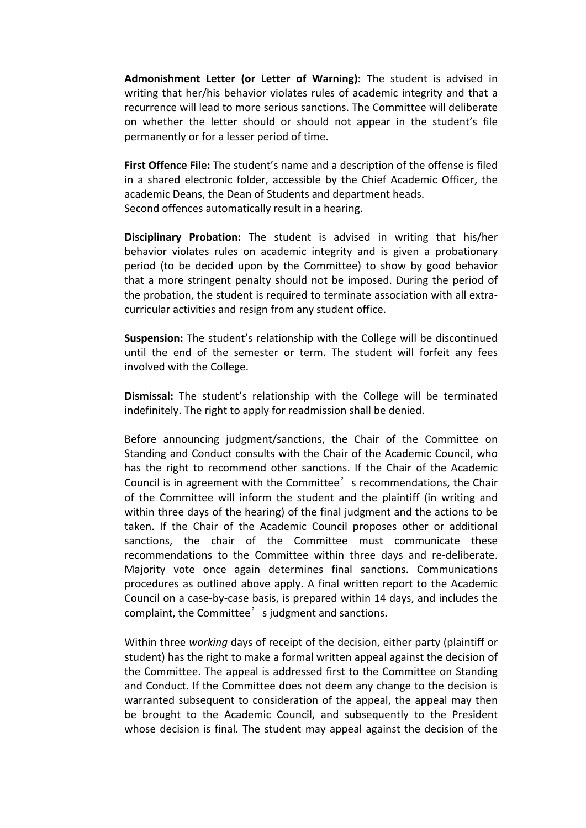Admonishment Letter (or Letter of Warning): The student is advised in writing that her/his behavior violates rules of academic integrity and that a recurrence will lead to more serious sanctions. The Committee will deliberate on whether the letter should or should not appear in the student's file permanently or for a lesser period of time.

**First Offence File:** The student's name and a description of the offense is filed in a shared electronic folder, accessible by the Chief Academic Officer, the academic Deans, the Dean of Students and department heads. Second offences automatically result in a hearing.

**Disciplinary Probation:** The student is advised in writing that his/her behavior violates rules on academic integrity and is given a probationary period (to be decided upon by the Committee) to show by good behavior that a more stringent penalty should not be imposed. During the period of the probation, the student is required to terminate association with all extracurricular activities and resign from any student office.

**Suspension:** The student's relationship with the College will be discontinued until the end of the semester or term. The student will forfeit any fees involved with the College.

**Dismissal:** The student's relationship with the College will be terminated indefinitely. The right to apply for readmission shall be denied.

Before announcing judgment/sanctions, the Chair of the Committee on Standing and Conduct consults with the Chair of the Academic Council, who has the right to recommend other sanctions. If the Chair of the Academic Council is in agreement with the Committee' s recommendations, the Chair of the Committee will inform the student and the plaintiff (in writing and within three days of the hearing) of the final judgment and the actions to be taken. If the Chair of the Academic Council proposes other or additional sanctions, the chair of the Committee must communicate these recommendations to the Committee within three days and re-deliberate. Majority vote once again determines final sanctions. Communications procedures as outlined above apply. A final written report to the Academic Council on a case-by-case basis, is prepared within 14 days, and includes the complaint, the Committee' s judgment and sanctions.

Within three *working* days of receipt of the decision, either party (plaintiff or student) has the right to make a formal written appeal against the decision of the Committee. The appeal is addressed first to the Committee on Standing and Conduct. If the Committee does not deem any change to the decision is warranted subsequent to consideration of the appeal, the appeal may then be brought to the Academic Council, and subsequently to the President whose decision is final. The student may appeal against the decision of the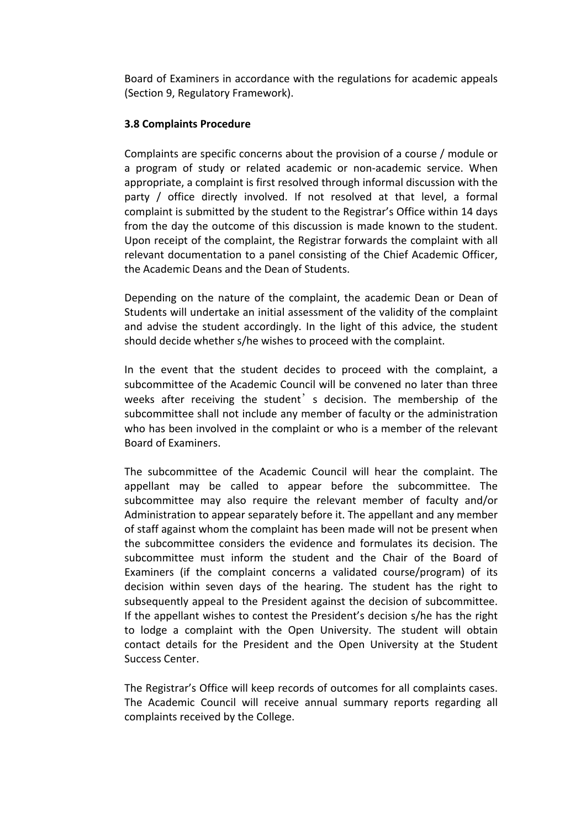Board of Examiners in accordance with the regulations for academic appeals (Section 9, Regulatory Framework).

# **3.8 Complaints Procedure**

Complaints are specific concerns about the provision of a course / module or a program of study or related academic or non-academic service. When appropriate, a complaint is first resolved through informal discussion with the party / office directly involved. If not resolved at that level, a formal complaint is submitted by the student to the Registrar's Office within 14 days from the day the outcome of this discussion is made known to the student. Upon receipt of the complaint, the Registrar forwards the complaint with all relevant documentation to a panel consisting of the Chief Academic Officer, the Academic Deans and the Dean of Students.

Depending on the nature of the complaint, the academic Dean or Dean of Students will undertake an initial assessment of the validity of the complaint and advise the student accordingly. In the light of this advice, the student should decide whether s/he wishes to proceed with the complaint.

In the event that the student decides to proceed with the complaint, a subcommittee of the Academic Council will be convened no later than three weeks after receiving the student<sup>'</sup> s decision. The membership of the subcommittee shall not include any member of faculty or the administration who has been involved in the complaint or who is a member of the relevant Board of Examiners.

The subcommittee of the Academic Council will hear the complaint. The appellant may be called to appear before the subcommittee. The subcommittee may also require the relevant member of faculty and/or Administration to appear separately before it. The appellant and any member of staff against whom the complaint has been made will not be present when the subcommittee considers the evidence and formulates its decision. The subcommittee must inform the student and the Chair of the Board of Examiners (if the complaint concerns a validated course/program) of its decision within seven days of the hearing. The student has the right to subsequently appeal to the President against the decision of subcommittee. If the appellant wishes to contest the President's decision s/he has the right to lodge a complaint with the Open University. The student will obtain contact details for the President and the Open University at the Student Success Center.

The Registrar's Office will keep records of outcomes for all complaints cases. The Academic Council will receive annual summary reports regarding all complaints received by the College.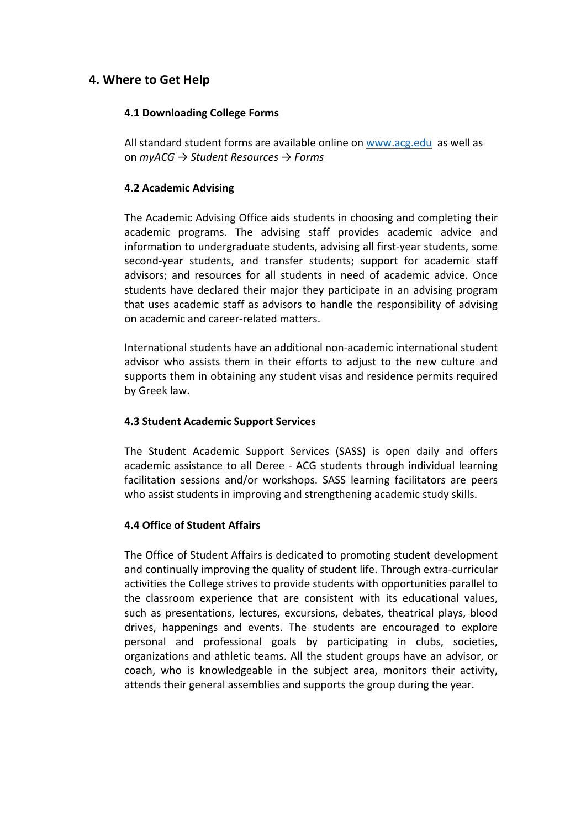# **4. Where to Get Help**

# **4.1 Downloading College Forms**

All standard student forms are available online on www.acg.edu as well as on *myACG → Student Resources → Forms*

# **4.2 Academic Advising**

The Academic Advising Office aids students in choosing and completing their academic programs. The advising staff provides academic advice and information to undergraduate students, advising all first-year students, some second-year students, and transfer students; support for academic staff advisors; and resources for all students in need of academic advice. Once students have declared their major they participate in an advising program that uses academic staff as advisors to handle the responsibility of advising on academic and career-related matters.

International students have an additional non-academic international student advisor who assists them in their efforts to adjust to the new culture and supports them in obtaining any student visas and residence permits required by Greek law.

# **4.3 Student Academic Support Services**

The Student Academic Support Services (SASS) is open daily and offers academic assistance to all Deree - ACG students through individual learning facilitation sessions and/or workshops. SASS learning facilitators are peers who assist students in improving and strengthening academic study skills.

# **4.4 Office of Student Affairs**

The Office of Student Affairs is dedicated to promoting student development and continually improving the quality of student life. Through extra-curricular activities the College strives to provide students with opportunities parallel to the classroom experience that are consistent with its educational values, such as presentations, lectures, excursions, debates, theatrical plays, blood drives, happenings and events. The students are encouraged to explore personal and professional goals by participating in clubs, societies, organizations and athletic teams. All the student groups have an advisor, or coach, who is knowledgeable in the subject area, monitors their activity, attends their general assemblies and supports the group during the year.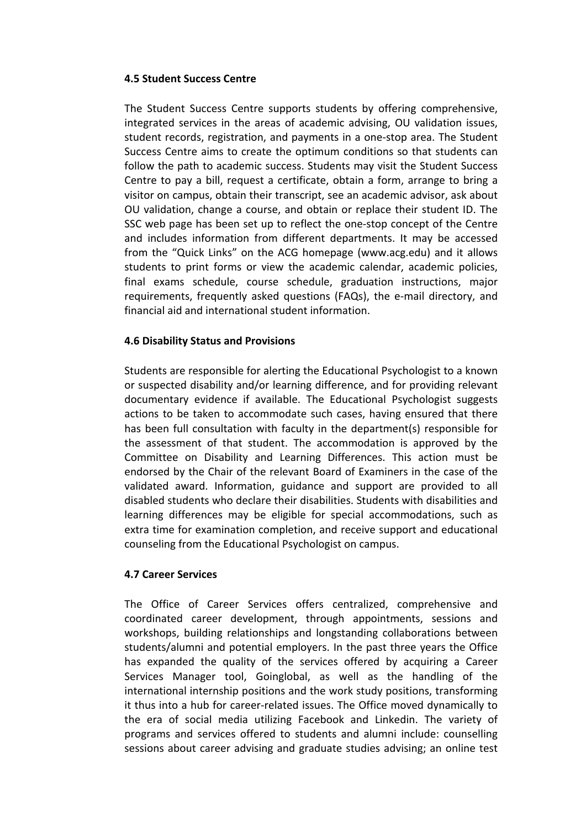# **4.5 Student Success Centre**

The Student Success Centre supports students by offering comprehensive, integrated services in the areas of academic advising, OU validation issues, student records, registration, and payments in a one-stop area. The Student Success Centre aims to create the optimum conditions so that students can follow the path to academic success. Students may visit the Student Success Centre to pay a bill, request a certificate, obtain a form, arrange to bring a visitor on campus, obtain their transcript, see an academic advisor, ask about OU validation, change a course, and obtain or replace their student ID. The SSC web page has been set up to reflect the one-stop concept of the Centre and includes information from different departments. It may be accessed from the "Quick Links" on the ACG homepage (www.acg.edu) and it allows students to print forms or view the academic calendar, academic policies, final exams schedule, course schedule, graduation instructions, major requirements, frequently asked questions (FAQs), the e-mail directory, and financial aid and international student information.

# **4.6 Disability Status and Provisions**

Students are responsible for alerting the Educational Psychologist to a known or suspected disability and/or learning difference, and for providing relevant documentary evidence if available. The Educational Psychologist suggests actions to be taken to accommodate such cases, having ensured that there has been full consultation with faculty in the department(s) responsible for the assessment of that student. The accommodation is approved by the Committee on Disability and Learning Differences. This action must be endorsed by the Chair of the relevant Board of Examiners in the case of the validated award. Information, guidance and support are provided to all disabled students who declare their disabilities. Students with disabilities and learning differences may be eligible for special accommodations, such as extra time for examination completion, and receive support and educational counseling from the Educational Psychologist on campus.

# **4.7 Career Services**

The Office of Career Services offers centralized, comprehensive and coordinated career development, through appointments, sessions and workshops, building relationships and longstanding collaborations between students/alumni and potential employers. In the past three years the Office has expanded the quality of the services offered by acquiring a Career Services Manager tool, Goinglobal, as well as the handling of the international internship positions and the work study positions, transforming it thus into a hub for career-related issues. The Office moved dynamically to the era of social media utilizing Facebook and Linkedin. The variety of programs and services offered to students and alumni include: counselling sessions about career advising and graduate studies advising; an online test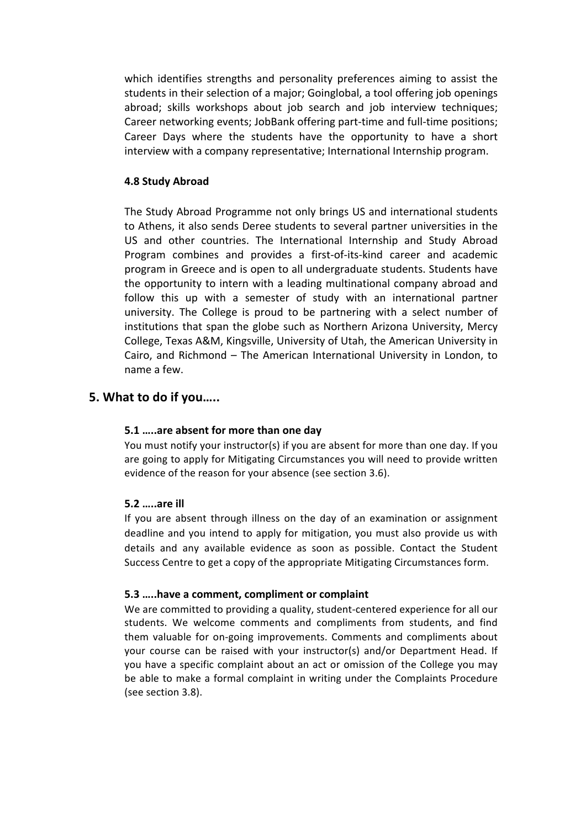which identifies strengths and personality preferences aiming to assist the students in their selection of a major; Goinglobal, a tool offering job openings abroad; skills workshops about job search and job interview techniques; Career networking events; JobBank offering part-time and full-time positions; Career Days where the students have the opportunity to have a short interview with a company representative; International Internship program.

# **4.8 Study Abroad**

The Study Abroad Programme not only brings US and international students to Athens, it also sends Deree students to several partner universities in the US and other countries. The International Internship and Study Abroad Program combines and provides a first-of-its-kind career and academic program in Greece and is open to all undergraduate students. Students have the opportunity to intern with a leading multinational company abroad and follow this up with a semester of study with an international partner university. The College is proud to be partnering with a select number of institutions that span the globe such as Northern Arizona University, Mercy College, Texas A&M, Kingsville, University of Utah, the American University in Cairo, and Richmond – The American International University in London, to name a few.

# **5. What to do if you.....**

#### **5.1** ....are absent for more than one day

You must notify your instructor(s) if you are absent for more than one day. If you are going to apply for Mitigating Circumstances you will need to provide written evidence of the reason for your absence (see section 3.6).

#### **5.2 …..are ill**

If you are absent through illness on the day of an examination or assignment deadline and you intend to apply for mitigation, you must also provide us with details and any available evidence as soon as possible. Contact the Student Success Centre to get a copy of the appropriate Mitigating Circumstances form.

#### **5.3 .....have a comment, compliment or complaint**

We are committed to providing a quality, student-centered experience for all our students. We welcome comments and compliments from students, and find them valuable for on-going improvements. Comments and compliments about your course can be raised with your instructor(s) and/or Department Head. If you have a specific complaint about an act or omission of the College you may be able to make a formal complaint in writing under the Complaints Procedure (see section 3.8).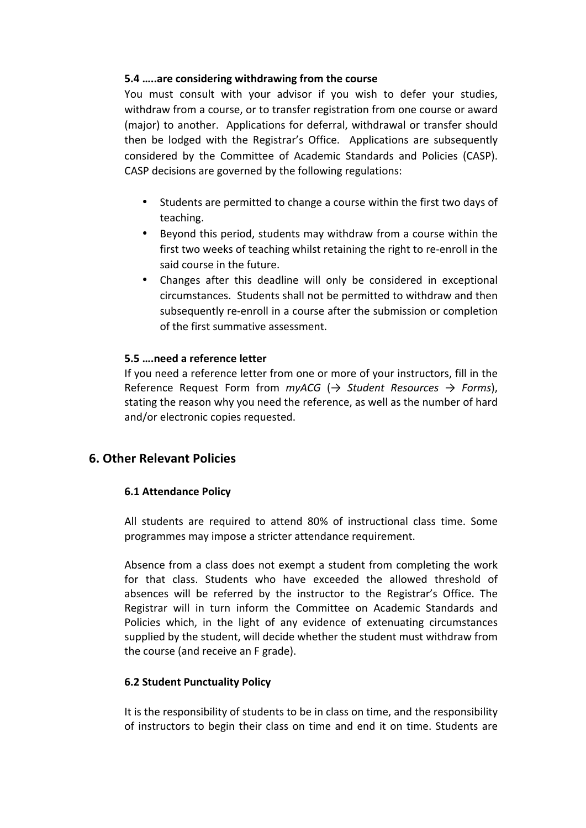# **5.4** .....are considering withdrawing from the course

You must consult with your advisor if you wish to defer your studies, withdraw from a course, or to transfer registration from one course or award (major) to another. Applications for deferral, withdrawal or transfer should then be lodged with the Registrar's Office. Applications are subsequently considered by the Committee of Academic Standards and Policies (CASP). CASP decisions are governed by the following regulations:

- Students are permitted to change a course within the first two days of teaching.
- Beyond this period, students may withdraw from a course within the first two weeks of teaching whilst retaining the right to re-enroll in the said course in the future.
- Changes after this deadline will only be considered in exceptional circumstances. Students shall not be permitted to withdraw and then subsequently re-enroll in a course after the submission or completion of the first summative assessment.

# **5.5 ….need a reference letter**

If you need a reference letter from one or more of your instructors, fill in the Reference Request Form from  $myACG$  ( $\rightarrow$  *Student Resources*  $\rightarrow$  *Forms*), stating the reason why you need the reference, as well as the number of hard and/or electronic copies requested.

# **6. Other Relevant Policies**

# **6.1 Attendance Policy**

All students are required to attend 80% of instructional class time. Some programmes may impose a stricter attendance requirement.

Absence from a class does not exempt a student from completing the work for that class. Students who have exceeded the allowed threshold of absences will be referred by the instructor to the Registrar's Office. The Registrar will in turn inform the Committee on Academic Standards and Policies which, in the light of any evidence of extenuating circumstances supplied by the student, will decide whether the student must withdraw from the course (and receive an F grade).

# **6.2 Student Punctuality Policy**

It is the responsibility of students to be in class on time, and the responsibility of instructors to begin their class on time and end it on time. Students are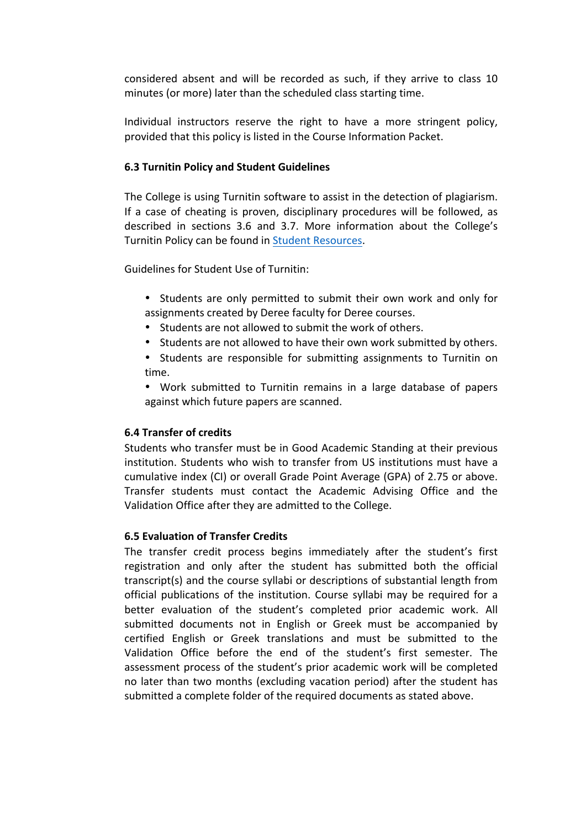considered absent and will be recorded as such, if they arrive to class 10 minutes (or more) later than the scheduled class starting time.

Individual instructors reserve the right to have a more stringent policy, provided that this policy is listed in the Course Information Packet.

# **6.3 Turnitin Policy and Student Guidelines**

The College is using Turnitin software to assist in the detection of plagiarism. If a case of cheating is proven, disciplinary procedures will be followed, as described in sections 3.6 and 3.7. More information about the College's Turnitin Policy can be found in Student Resources.

Guidelines for Student Use of Turnitin:

- Students are only permitted to submit their own work and only for assignments created by Deree faculty for Deree courses.
- Students are not allowed to submit the work of others.
- Students are not allowed to have their own work submitted by others.
- Students are responsible for submitting assignments to Turnitin on time.
- Work submitted to Turnitin remains in a large database of papers against which future papers are scanned.

#### **6.4 Transfer of credits**

Students who transfer must be in Good Academic Standing at their previous institution. Students who wish to transfer from US institutions must have a cumulative index (CI) or overall Grade Point Average (GPA) of 2.75 or above. Transfer students must contact the Academic Advising Office and the Validation Office after they are admitted to the College.

# **6.5 Evaluation of Transfer Credits**

The transfer credit process begins immediately after the student's first registration and only after the student has submitted both the official transcript(s) and the course syllabi or descriptions of substantial length from official publications of the institution. Course syllabi may be required for a better evaluation of the student's completed prior academic work. All submitted documents not in English or Greek must be accompanied by certified English or Greek translations and must be submitted to the Validation Office before the end of the student's first semester. The assessment process of the student's prior academic work will be completed no later than two months (excluding vacation period) after the student has submitted a complete folder of the required documents as stated above.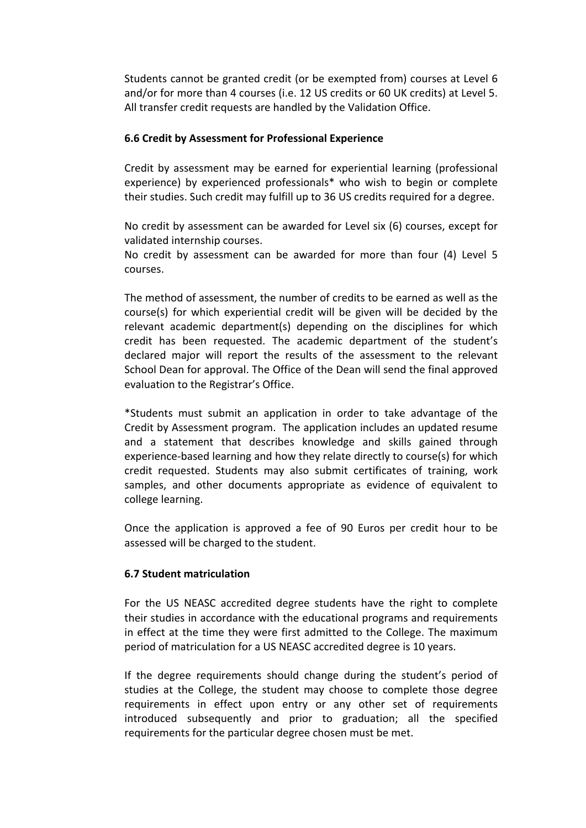Students cannot be granted credit (or be exempted from) courses at Level 6 and/or for more than 4 courses (i.e. 12 US credits or 60 UK credits) at Level 5. All transfer credit requests are handled by the Validation Office.

# **6.6 Credit by Assessment for Professional Experience**

Credit by assessment may be earned for experiential learning (professional experience) by experienced professionals\* who wish to begin or complete their studies. Such credit may fulfill up to 36 US credits required for a degree.

No credit by assessment can be awarded for Level six (6) courses, except for validated internship courses.

No credit by assessment can be awarded for more than four  $(4)$  Level 5 courses.

The method of assessment, the number of credits to be earned as well as the  $course(s)$  for which experiential credit will be given will be decided by the  $relevant academic department(s) depending on the disciplines for which$ credit has been requested. The academic department of the student's declared major will report the results of the assessment to the relevant School Dean for approval. The Office of the Dean will send the final approved evaluation to the Registrar's Office.

\*Students must submit an application in order to take advantage of the Credit by Assessment program. The application includes an updated resume and a statement that describes knowledge and skills gained through experience-based learning and how they relate directly to course(s) for which credit requested. Students may also submit certificates of training, work samples, and other documents appropriate as evidence of equivalent to college learning.

Once the application is approved a fee of 90 Euros per credit hour to be assessed will be charged to the student.

#### **6.7 Student matriculation**

For the US NEASC accredited degree students have the right to complete their studies in accordance with the educational programs and requirements in effect at the time they were first admitted to the College. The maximum period of matriculation for a US NEASC accredited degree is 10 years.

If the degree requirements should change during the student's period of studies at the College, the student may choose to complete those degree requirements in effect upon entry or any other set of requirements introduced subsequently and prior to graduation; all the specified requirements for the particular degree chosen must be met.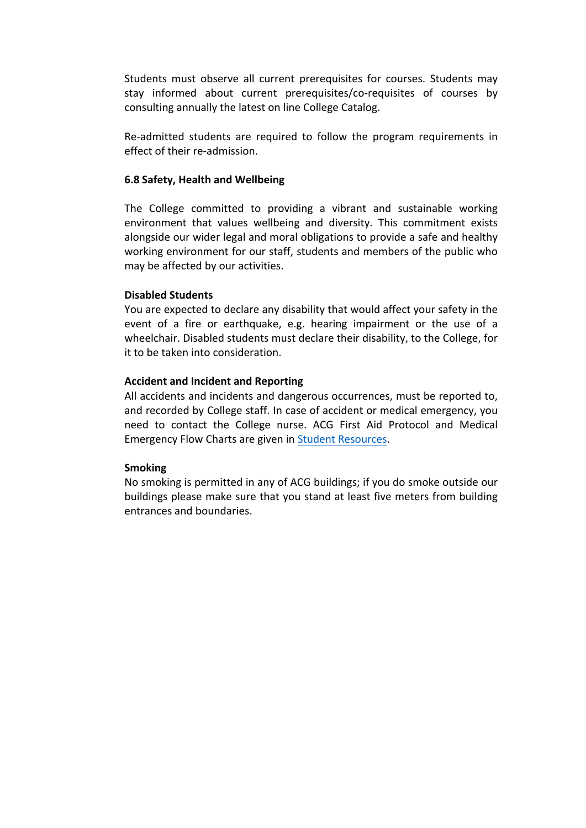Students must observe all current prerequisites for courses. Students may stay informed about current prerequisites/co-requisites of courses by consulting annually the latest on line College Catalog.

Re-admitted students are required to follow the program requirements in effect of their re-admission.

# **6.8 Safety, Health and Wellbeing**

The College committed to providing a vibrant and sustainable working environment that values wellbeing and diversity. This commitment exists alongside our wider legal and moral obligations to provide a safe and healthy working environment for our staff, students and members of the public who may be affected by our activities.

#### **Disabled Students**

You are expected to declare any disability that would affect your safety in the event of a fire or earthquake, e.g. hearing impairment or the use of a wheelchair. Disabled students must declare their disability, to the College, for it to be taken into consideration.

# **Accident and Incident and Reporting**

All accidents and incidents and dangerous occurrences, must be reported to, and recorded by College staff. In case of accident or medical emergency, you need to contact the College nurse. ACG First Aid Protocol and Medical Emergency Flow Charts are given in Student Resources.

#### **Smoking**

No smoking is permitted in any of ACG buildings; if you do smoke outside our buildings please make sure that you stand at least five meters from building entrances and boundaries.